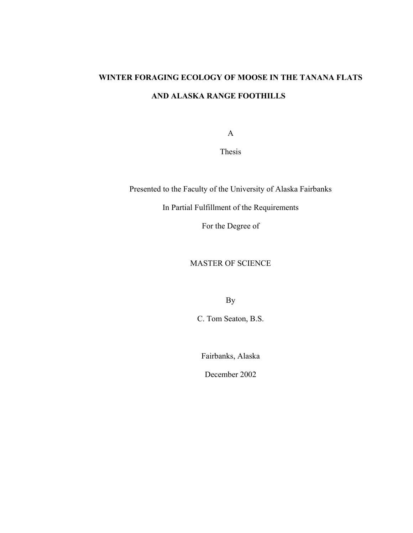# **WINTER FORAGING ECOLOGY OF MOOSE IN THE TANANA FLATS AND ALASKA RANGE FOOTHILLS**

A

Thesis

Presented to the Faculty of the University of Alaska Fairbanks

In Partial Fulfillment of the Requirements

For the Degree of

MASTER OF SCIENCE

By

C. Tom Seaton, B.S.

Fairbanks, Alaska

December 2002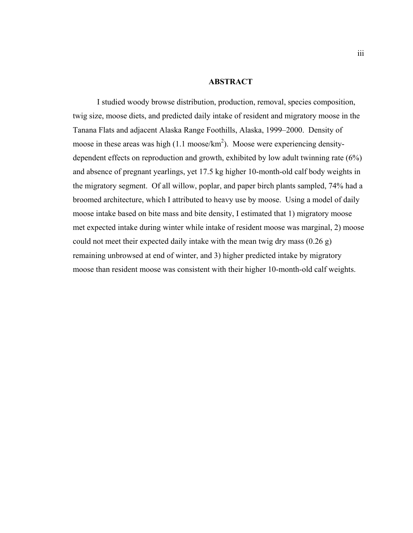## **ABSTRACT**

I studied woody browse distribution, production, removal, species composition, twig size, moose diets, and predicted daily intake of resident and migratory moose in the Tanana Flats and adjacent Alaska Range Foothills, Alaska, 1999–2000. Density of moose in these areas was high  $(1.1 \text{ moose/km}^2)$ . Moose were experiencing densitydependent effects on reproduction and growth, exhibited by low adult twinning rate (6%) and absence of pregnant yearlings, yet 17.5 kg higher 10-month-old calf body weights in the migratory segment. Of all willow, poplar, and paper birch plants sampled, 74% had a broomed architecture, which I attributed to heavy use by moose. Using a model of daily moose intake based on bite mass and bite density, I estimated that 1) migratory moose met expected intake during winter while intake of resident moose was marginal, 2) moose could not meet their expected daily intake with the mean twig dry mass (0.26 g) remaining unbrowsed at end of winter, and 3) higher predicted intake by migratory moose than resident moose was consistent with their higher 10-month-old calf weights.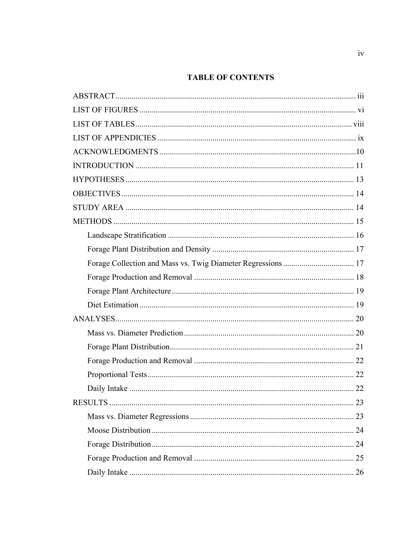# **TABLE OF CONTENTS**

| 23 |
|----|
|    |
|    |
|    |
|    |
| 26 |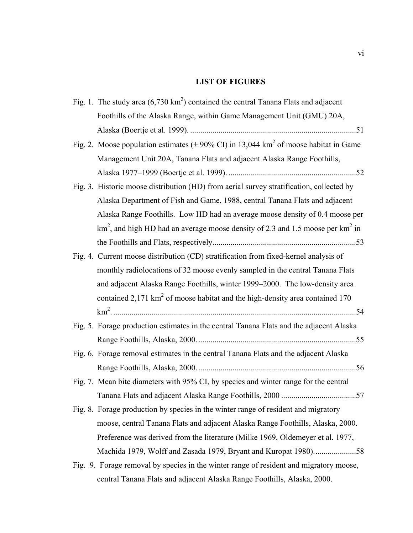# **LIST OF FIGURES**

| Fig. 1. The study area $(6,730 \text{ km}^2)$ contained the central Tanana Flats and adjacent         |
|-------------------------------------------------------------------------------------------------------|
| Foothills of the Alaska Range, within Game Management Unit (GMU) 20A,                                 |
|                                                                                                       |
| Fig. 2. Moose population estimates ( $\pm$ 90% CI) in 13,044 km <sup>2</sup> of moose habitat in Game |
| Management Unit 20A, Tanana Flats and adjacent Alaska Range Foothills,                                |
|                                                                                                       |
| Fig. 3. Historic moose distribution (HD) from aerial survey stratification, collected by              |
| Alaska Department of Fish and Game, 1988, central Tanana Flats and adjacent                           |
| Alaska Range Foothills. Low HD had an average moose density of 0.4 moose per                          |
| $km2$ , and high HD had an average moose density of 2.3 and 1.5 moose per $km2$ in                    |
|                                                                                                       |
| Fig. 4. Current moose distribution (CD) stratification from fixed-kernel analysis of                  |
| monthly radiolocations of 32 moose evenly sampled in the central Tanana Flats                         |
| and adjacent Alaska Range Foothills, winter 1999–2000. The low-density area                           |
| contained $2,171 \text{ km}^2$ of moose habitat and the high-density area contained 170               |
|                                                                                                       |
| Fig. 5. Forage production estimates in the central Tanana Flats and the adjacent Alaska               |
|                                                                                                       |
| Fig. 6. Forage removal estimates in the central Tanana Flats and the adjacent Alaska                  |
|                                                                                                       |
| Fig. 7. Mean bite diameters with 95% CI, by species and winter range for the central                  |
|                                                                                                       |
| Fig. 8. Forage production by species in the winter range of resident and migratory                    |
| moose, central Tanana Flats and adjacent Alaska Range Foothills, Alaska, 2000.                        |
| Preference was derived from the literature (Milke 1969, Oldemeyer et al. 1977,                        |
| Machida 1979, Wolff and Zasada 1979, Bryant and Kuropat 1980)58                                       |
| Fig. 9. Forage removal by species in the winter range of resident and migratory moose,                |
| central Tanana Flats and adjacent Alaska Range Foothills, Alaska, 2000.                               |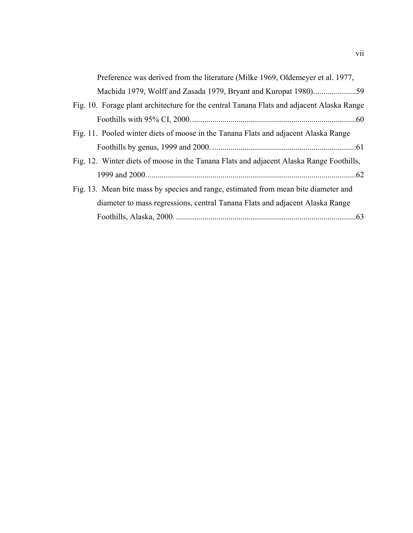| Preference was derived from the literature (Milke 1969, Oldemeyer et al. 1977,            |
|-------------------------------------------------------------------------------------------|
|                                                                                           |
| Fig. 10. Forage plant architecture for the central Tanana Flats and adjacent Alaska Range |
|                                                                                           |
| Fig. 11. Pooled winter diets of moose in the Tanana Flats and adjacent Alaska Range       |
|                                                                                           |
| Fig. 12. Winter diets of moose in the Tanana Flats and adjacent Alaska Range Foothills,   |
|                                                                                           |
| Fig. 13. Mean bite mass by species and range, estimated from mean bite diameter and       |
| diameter to mass regressions, central Tanana Flats and adjacent Alaska Range              |
| .63                                                                                       |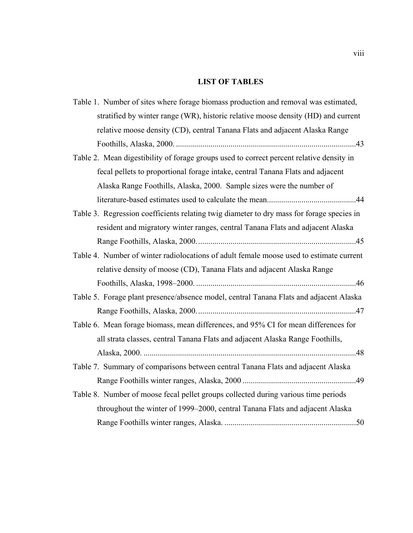# **LIST OF TABLES**

| Table 1. Number of sites where forage biomass production and removal was estimated,       |
|-------------------------------------------------------------------------------------------|
| stratified by winter range (WR), historic relative moose density (HD) and current         |
| relative moose density (CD), central Tanana Flats and adjacent Alaska Range               |
|                                                                                           |
| Table 2. Mean digestibility of forage groups used to correct percent relative density in  |
| fecal pellets to proportional forage intake, central Tanana Flats and adjacent            |
| Alaska Range Foothills, Alaska, 2000. Sample sizes were the number of                     |
|                                                                                           |
| Table 3. Regression coefficients relating twig diameter to dry mass for forage species in |
| resident and migratory winter ranges, central Tanana Flats and adjacent Alaska            |
|                                                                                           |
| Table 4. Number of winter radiolocations of adult female moose used to estimate current   |
| relative density of moose (CD), Tanana Flats and adjacent Alaska Range                    |
|                                                                                           |
| Table 5. Forage plant presence/absence model, central Tanana Flats and adjacent Alaska    |
|                                                                                           |
| Table 6. Mean forage biomass, mean differences, and 95% CI for mean differences for       |
| all strata classes, central Tanana Flats and adjacent Alaska Range Foothills,             |
|                                                                                           |
| Table 7. Summary of comparisons between central Tanana Flats and adjacent Alaska          |
|                                                                                           |
| Table 8. Number of moose fecal pellet groups collected during various time periods        |
| throughout the winter of 1999–2000, central Tanana Flats and adjacent Alaska              |
|                                                                                           |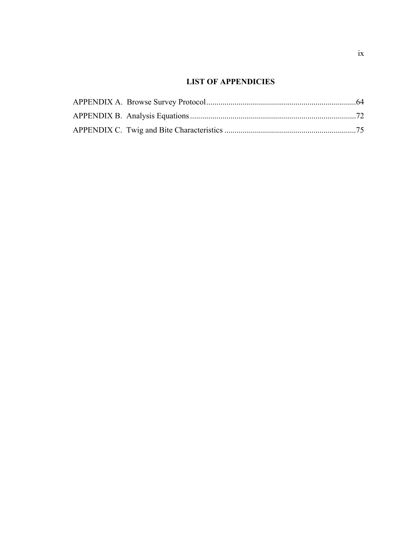# **LIST OF APPENDICIES**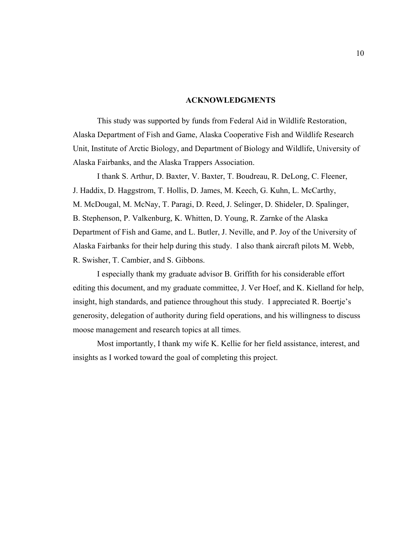#### **ACKNOWLEDGMENTS**

This study was supported by funds from Federal Aid in Wildlife Restoration, Alaska Department of Fish and Game, Alaska Cooperative Fish and Wildlife Research Unit, Institute of Arctic Biology, and Department of Biology and Wildlife, University of Alaska Fairbanks, and the Alaska Trappers Association.

I thank S. Arthur, D. Baxter, V. Baxter, T. Boudreau, R. DeLong, C. Fleener, J. Haddix, D. Haggstrom, T. Hollis, D. James, M. Keech, G. Kuhn, L. McCarthy, M. McDougal, M. McNay, T. Paragi, D. Reed, J. Selinger, D. Shideler, D. Spalinger, B. Stephenson, P. Valkenburg, K. Whitten, D. Young, R. Zarnke of the Alaska Department of Fish and Game, and L. Butler, J. Neville, and P. Joy of the University of Alaska Fairbanks for their help during this study. I also thank aircraft pilots M. Webb, R. Swisher, T. Cambier, and S. Gibbons.

I especially thank my graduate advisor B. Griffith for his considerable effort editing this document, and my graduate committee, J. Ver Hoef, and K. Kielland for help, insight, high standards, and patience throughout this study. I appreciated R. Boertje's generosity, delegation of authority during field operations, and his willingness to discuss moose management and research topics at all times.

Most importantly, I thank my wife K. Kellie for her field assistance, interest, and insights as I worked toward the goal of completing this project.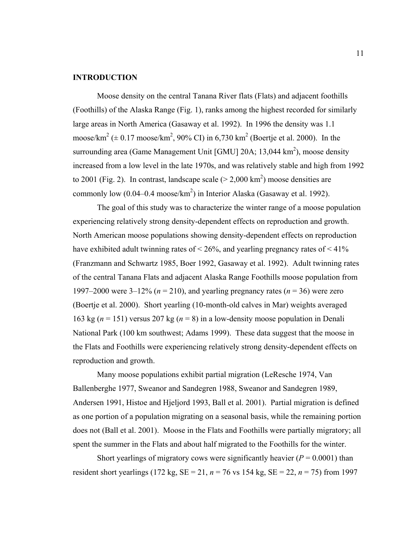# **INTRODUCTION**

Moose density on the central Tanana River flats (Flats) and adjacent foothills (Foothills) of the Alaska Range (Fig. 1), ranks among the highest recorded for similarly large areas in North America (Gasaway et al. 1992). In 1996 the density was 1.1 moose/km<sup>2</sup> ( $\pm$  0.17 moose/km<sup>2</sup>, 90% CI) in 6,730 km<sup>2</sup> (Boertje et al. 2000). In the surrounding area (Game Management Unit [GMU] 20A; 13,044  $\text{km}^2$ ), moose density increased from a low level in the late 1970s, and was relatively stable and high from 1992 to 2001 (Fig. 2). In contrast, landscape scale  $(> 2,000 \text{ km}^2)$  moose densities are commonly low  $(0.04 - 0.4 \text{ moose/km}^2)$  in Interior Alaska (Gasaway et al. 1992).

The goal of this study was to characterize the winter range of a moose population experiencing relatively strong density-dependent effects on reproduction and growth. North American moose populations showing density-dependent effects on reproduction have exhibited adult twinning rates of  $\leq 26\%$ , and yearling pregnancy rates of  $\leq 41\%$ (Franzmann and Schwartz 1985, Boer 1992, Gasaway et al. 1992). Adult twinning rates of the central Tanana Flats and adjacent Alaska Range Foothills moose population from 1997–2000 were 3–12% (*n* = 210), and yearling pregnancy rates (*n* = 36) were zero (Boertje et al. 2000). Short yearling (10-month-old calves in Mar) weights averaged 163 kg ( $n = 151$ ) versus 207 kg ( $n = 8$ ) in a low-density moose population in Denali National Park (100 km southwest; Adams 1999). These data suggest that the moose in the Flats and Foothills were experiencing relatively strong density-dependent effects on reproduction and growth.

Many moose populations exhibit partial migration (LeResche 1974, Van Ballenberghe 1977, Sweanor and Sandegren 1988, Sweanor and Sandegren 1989, Andersen 1991, Histoe and Hjeljord 1993, Ball et al. 2001). Partial migration is defined as one portion of a population migrating on a seasonal basis, while the remaining portion does not (Ball et al. 2001). Moose in the Flats and Foothills were partially migratory; all spent the summer in the Flats and about half migrated to the Foothills for the winter.

Short yearlings of migratory cows were significantly heavier  $(P = 0.0001)$  than resident short yearlings (172 kg, SE = 21, *n* = 76 vs 154 kg, SE = 22, *n* = 75) from 1997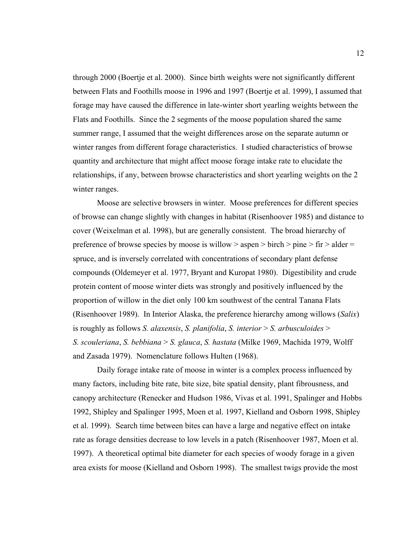through 2000 (Boertje et al. 2000). Since birth weights were not significantly different between Flats and Foothills moose in 1996 and 1997 (Boertje et al. 1999), I assumed that forage may have caused the difference in late-winter short yearling weights between the Flats and Foothills. Since the 2 segments of the moose population shared the same summer range, I assumed that the weight differences arose on the separate autumn or winter ranges from different forage characteristics. I studied characteristics of browse quantity and architecture that might affect moose forage intake rate to elucidate the relationships, if any, between browse characteristics and short yearling weights on the 2 winter ranges.

Moose are selective browsers in winter. Moose preferences for different species of browse can change slightly with changes in habitat (Risenhoover 1985) and distance to cover (Weixelman et al. 1998), but are generally consistent. The broad hierarchy of preference of browse species by moose is willow  $>$  aspen  $>$  birch  $>$  pine  $>$  fir  $>$  alder  $=$ spruce, and is inversely correlated with concentrations of secondary plant defense compounds (Oldemeyer et al. 1977, Bryant and Kuropat 1980). Digestibility and crude protein content of moose winter diets was strongly and positively influenced by the proportion of willow in the diet only 100 km southwest of the central Tanana Flats (Risenhoover 1989). In Interior Alaska, the preference hierarchy among willows (*Salix*) is roughly as follows *S. alaxensis*, *S. planifolia*, *S. interior* > *S. arbusculoides* > *S. scouleriana*, *S. bebbiana* > *S. glauca*, *S. hastata* (Milke 1969, Machida 1979, Wolff and Zasada 1979). Nomenclature follows Hulten (1968).

Daily forage intake rate of moose in winter is a complex process influenced by many factors, including bite rate, bite size, bite spatial density, plant fibrousness, and canopy architecture (Renecker and Hudson 1986, Vivas et al. 1991, Spalinger and Hobbs 1992, Shipley and Spalinger 1995, Moen et al. 1997, Kielland and Osborn 1998, Shipley et al. 1999). Search time between bites can have a large and negative effect on intake rate as forage densities decrease to low levels in a patch (Risenhoover 1987, Moen et al. 1997). A theoretical optimal bite diameter for each species of woody forage in a given area exists for moose (Kielland and Osborn 1998). The smallest twigs provide the most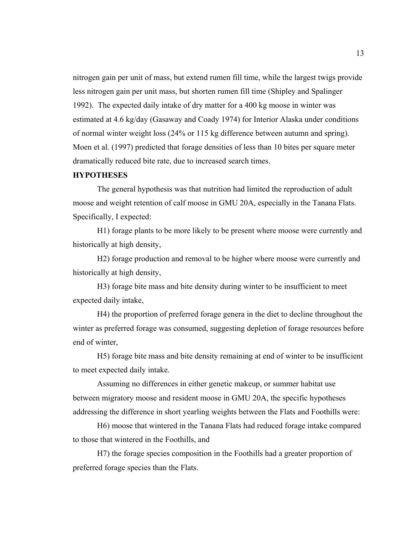nitrogen gain per unit of mass, but extend rumen fill time, while the largest twigs provide less nitrogen gain per unit mass, but shorten rumen fill time (Shipley and Spalinger 1992). The expected daily intake of dry matter for a 400 kg moose in winter was estimated at 4.6 kg/day (Gasaway and Coady 1974) for Interior Alaska under conditions of normal winter weight loss (24% or 115 kg difference between autumn and spring). Moen et al. (1997) predicted that forage densities of less than 10 bites per square meter dramatically reduced bite rate, due to increased search times.

# **HYPOTHESES**

The general hypothesis was that nutrition had limited the reproduction of adult moose and weight retention of calf moose in GMU 20A, especially in the Tanana Flats. Specifically, I expected:

H1) forage plants to be more likely to be present where moose were currently and historically at high density,

H2) forage production and removal to be higher where moose were currently and historically at high density,

H3) forage bite mass and bite density during winter to be insufficient to meet expected daily intake,

H4) the proportion of preferred forage genera in the diet to decline throughout the winter as preferred forage was consumed, suggesting depletion of forage resources before end of winter,

H5) forage bite mass and bite density remaining at end of winter to be insufficient to meet expected daily intake.

Assuming no differences in either genetic makeup, or summer habitat use between migratory moose and resident moose in GMU 20A, the specific hypotheses addressing the difference in short yearling weights between the Flats and Foothills were:

H6) moose that wintered in the Tanana Flats had reduced forage intake compared to those that wintered in the Foothills, and

H7) the forage species composition in the Foothills had a greater proportion of preferred forage species than the Flats.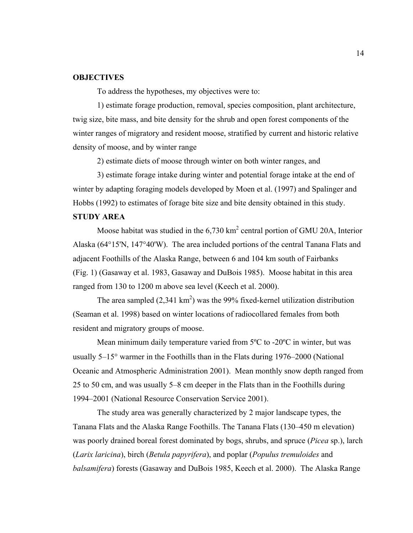# **OBJECTIVES**

To address the hypotheses, my objectives were to:

1) estimate forage production, removal, species composition, plant architecture, twig size, bite mass, and bite density for the shrub and open forest components of the winter ranges of migratory and resident moose, stratified by current and historic relative density of moose, and by winter range

2) estimate diets of moose through winter on both winter ranges, and

3) estimate forage intake during winter and potential forage intake at the end of winter by adapting foraging models developed by Moen et al. (1997) and Spalinger and Hobbs (1992) to estimates of forage bite size and bite density obtained in this study.

# **STUDY AREA**

Moose habitat was studied in the  $6,730 \text{ km}^2$  central portion of GMU 20A, Interior Alaska (64°15'N, 147°40'W). The area included portions of the central Tanana Flats and adjacent Foothills of the Alaska Range, between 6 and 104 km south of Fairbanks (Fig. 1) (Gasaway et al. 1983, Gasaway and DuBois 1985). Moose habitat in this area ranged from 130 to 1200 m above sea level (Keech et al. 2000).

The area sampled  $(2,341 \text{ km}^2)$  was the 99% fixed-kernel utilization distribution (Seaman et al. 1998) based on winter locations of radiocollared females from both resident and migratory groups of moose.

Mean minimum daily temperature varied from 5ºC to -20ºC in winter, but was usually 5–15° warmer in the Foothills than in the Flats during 1976–2000 (National Oceanic and Atmospheric Administration 2001). Mean monthly snow depth ranged from 25 to 50 cm, and was usually 5–8 cm deeper in the Flats than in the Foothills during 1994–2001 (National Resource Conservation Service 2001).

The study area was generally characterized by 2 major landscape types, the Tanana Flats and the Alaska Range Foothills. The Tanana Flats (130–450 m elevation) was poorly drained boreal forest dominated by bogs, shrubs, and spruce (*Picea* sp.), larch (*Larix laricina*), birch (*Betula papyrifera*), and poplar (*Populus tremuloides* and *balsamifera*) forests (Gasaway and DuBois 1985, Keech et al. 2000). The Alaska Range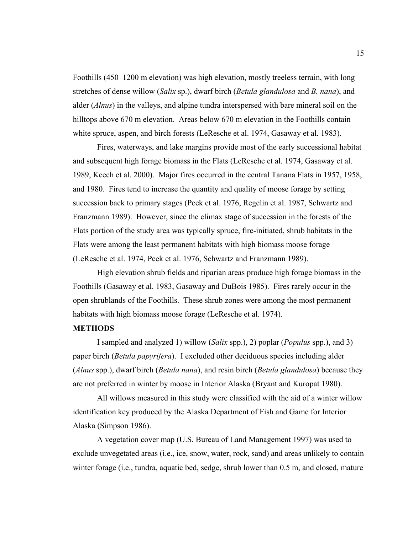Foothills (450–1200 m elevation) was high elevation, mostly treeless terrain, with long stretches of dense willow (*Salix* sp.), dwarf birch (*Betula glandulosa* and *B. nana*), and alder (*Alnus*) in the valleys, and alpine tundra interspersed with bare mineral soil on the hilltops above 670 m elevation. Areas below 670 m elevation in the Foothills contain white spruce, aspen, and birch forests (LeResche et al. 1974, Gasaway et al. 1983).

Fires, waterways, and lake margins provide most of the early successional habitat and subsequent high forage biomass in the Flats (LeResche et al. 1974, Gasaway et al. 1989, Keech et al. 2000). Major fires occurred in the central Tanana Flats in 1957, 1958, and 1980. Fires tend to increase the quantity and quality of moose forage by setting succession back to primary stages (Peek et al. 1976, Regelin et al. 1987, Schwartz and Franzmann 1989). However, since the climax stage of succession in the forests of the Flats portion of the study area was typically spruce, fire-initiated, shrub habitats in the Flats were among the least permanent habitats with high biomass moose forage (LeResche et al. 1974, Peek et al. 1976, Schwartz and Franzmann 1989).

High elevation shrub fields and riparian areas produce high forage biomass in the Foothills (Gasaway et al. 1983, Gasaway and DuBois 1985). Fires rarely occur in the open shrublands of the Foothills. These shrub zones were among the most permanent habitats with high biomass moose forage (LeResche et al. 1974).

#### **METHODS**

I sampled and analyzed 1) willow (*Salix* spp.), 2) poplar (*Populus* spp.), and 3) paper birch (*Betula papyrifera*). I excluded other deciduous species including alder (*Alnus* spp.), dwarf birch (*Betula nana*), and resin birch (*Betula glandulosa*) because they are not preferred in winter by moose in Interior Alaska (Bryant and Kuropat 1980).

All willows measured in this study were classified with the aid of a winter willow identification key produced by the Alaska Department of Fish and Game for Interior Alaska (Simpson 1986).

A vegetation cover map (U.S. Bureau of Land Management 1997) was used to exclude unvegetated areas (i.e., ice, snow, water, rock, sand) and areas unlikely to contain winter forage (i.e., tundra, aquatic bed, sedge, shrub lower than 0.5 m, and closed, mature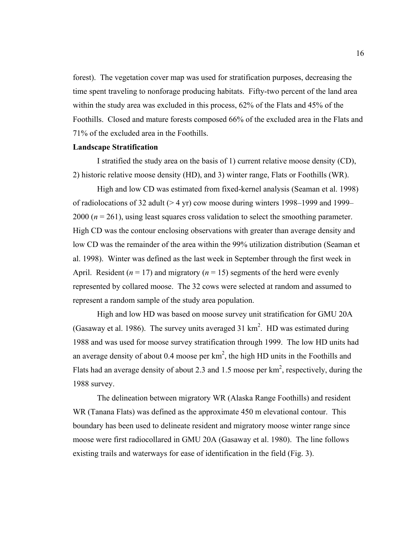forest). The vegetation cover map was used for stratification purposes, decreasing the time spent traveling to nonforage producing habitats. Fifty-two percent of the land area within the study area was excluded in this process, 62% of the Flats and 45% of the Foothills. Closed and mature forests composed 66% of the excluded area in the Flats and 71% of the excluded area in the Foothills.

#### **Landscape Stratification**

I stratified the study area on the basis of 1) current relative moose density (CD), 2) historic relative moose density (HD), and 3) winter range, Flats or Foothills (WR).

High and low CD was estimated from fixed-kernel analysis (Seaman et al. 1998) of radiolocations of 32 adult (> 4 yr) cow moose during winters 1998–1999 and 1999– 2000 (*n* = 261), using least squares cross validation to select the smoothing parameter. High CD was the contour enclosing observations with greater than average density and low CD was the remainder of the area within the 99% utilization distribution (Seaman et al. 1998). Winter was defined as the last week in September through the first week in April. Resident ( $n = 17$ ) and migratory ( $n = 15$ ) segments of the herd were evenly represented by collared moose. The 32 cows were selected at random and assumed to represent a random sample of the study area population.

High and low HD was based on moose survey unit stratification for GMU 20A (Gasaway et al. 1986). The survey units averaged 31  $km<sup>2</sup>$ . HD was estimated during 1988 and was used for moose survey stratification through 1999. The low HD units had an average density of about 0.4 moose per  $km^2$ , the high HD units in the Foothills and Flats had an average density of about 2.3 and 1.5 moose per  $km^2$ , respectively, during the 1988 survey.

The delineation between migratory WR (Alaska Range Foothills) and resident WR (Tanana Flats) was defined as the approximate 450 m elevational contour. This boundary has been used to delineate resident and migratory moose winter range since moose were first radiocollared in GMU 20A (Gasaway et al. 1980). The line follows existing trails and waterways for ease of identification in the field (Fig. 3).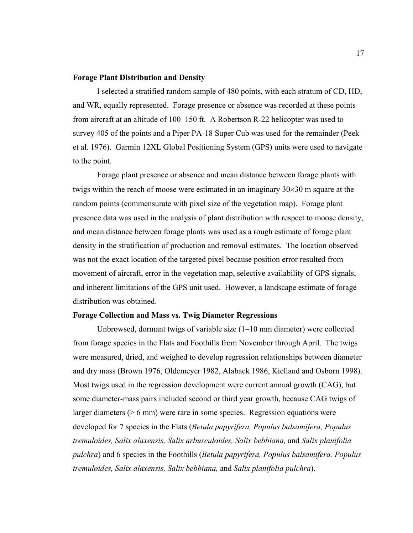## **Forage Plant Distribution and Density**

I selected a stratified random sample of 480 points, with each stratum of CD, HD, and WR, equally represented. Forage presence or absence was recorded at these points from aircraft at an altitude of 100–150 ft. A Robertson R-22 helicopter was used to survey 405 of the points and a Piper PA-18 Super Cub was used for the remainder (Peek et al. 1976). Garmin 12XL Global Positioning System (GPS) units were used to navigate to the point.

Forage plant presence or absence and mean distance between forage plants with twigs within the reach of moose were estimated in an imaginary  $30 \times 30$  m square at the random points (commensurate with pixel size of the vegetation map). Forage plant presence data was used in the analysis of plant distribution with respect to moose density, and mean distance between forage plants was used as a rough estimate of forage plant density in the stratification of production and removal estimates. The location observed was not the exact location of the targeted pixel because position error resulted from movement of aircraft, error in the vegetation map, selective availability of GPS signals, and inherent limitations of the GPS unit used. However, a landscape estimate of forage distribution was obtained.

#### **Forage Collection and Mass vs. Twig Diameter Regressions**

Unbrowsed, dormant twigs of variable size (1–10 mm diameter) were collected from forage species in the Flats and Foothills from November through April. The twigs were measured, dried, and weighed to develop regression relationships between diameter and dry mass (Brown 1976, Oldemeyer 1982, Alaback 1986, Kielland and Osborn 1998). Most twigs used in the regression development were current annual growth (CAG), but some diameter-mass pairs included second or third year growth, because CAG twigs of larger diameters (> 6 mm) were rare in some species. Regression equations were developed for 7 species in the Flats (*Betula papyrifera, Populus balsamifera, Populus tremuloides, Salix alaxensis, Salix arbusculoides, Salix bebbiana,* and *Salix planifolia pulchra*) and 6 species in the Foothills (*Betula papyrifera, Populus balsamifera, Populus tremuloides, Salix alaxensis, Salix bebbiana,* and *Salix planifolia pulchra*).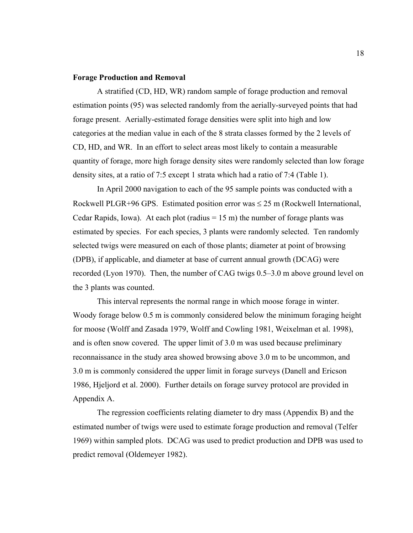## **Forage Production and Removal**

A stratified (CD, HD, WR) random sample of forage production and removal estimation points (95) was selected randomly from the aerially-surveyed points that had forage present. Aerially-estimated forage densities were split into high and low categories at the median value in each of the 8 strata classes formed by the 2 levels of CD, HD, and WR. In an effort to select areas most likely to contain a measurable quantity of forage, more high forage density sites were randomly selected than low forage density sites, at a ratio of 7:5 except 1 strata which had a ratio of 7:4 (Table 1).

In April 2000 navigation to each of the 95 sample points was conducted with a Rockwell PLGR+96 GPS. Estimated position error was  $\leq$  25 m (Rockwell International, Cedar Rapids, Iowa). At each plot (radius  $= 15$  m) the number of forage plants was estimated by species. For each species, 3 plants were randomly selected. Ten randomly selected twigs were measured on each of those plants; diameter at point of browsing (DPB), if applicable, and diameter at base of current annual growth (DCAG) were recorded (Lyon 1970). Then, the number of CAG twigs 0.5–3.0 m above ground level on the 3 plants was counted.

This interval represents the normal range in which moose forage in winter. Woody forage below 0.5 m is commonly considered below the minimum foraging height for moose (Wolff and Zasada 1979, Wolff and Cowling 1981, Weixelman et al. 1998), and is often snow covered. The upper limit of 3.0 m was used because preliminary reconnaissance in the study area showed browsing above 3.0 m to be uncommon, and 3.0 m is commonly considered the upper limit in forage surveys (Danell and Ericson 1986, Hjeljord et al. 2000). Further details on forage survey protocol are provided in Appendix A.

The regression coefficients relating diameter to dry mass (Appendix B) and the estimated number of twigs were used to estimate forage production and removal (Telfer 1969) within sampled plots. DCAG was used to predict production and DPB was used to predict removal (Oldemeyer 1982).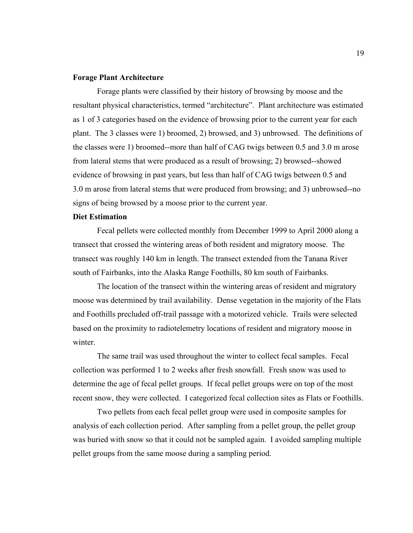# **Forage Plant Architecture**

Forage plants were classified by their history of browsing by moose and the resultant physical characteristics, termed "architecture". Plant architecture was estimated as 1 of 3 categories based on the evidence of browsing prior to the current year for each plant. The 3 classes were 1) broomed, 2) browsed, and 3) unbrowsed. The definitions of the classes were 1) broomed--more than half of CAG twigs between 0.5 and 3.0 m arose from lateral stems that were produced as a result of browsing; 2) browsed--showed evidence of browsing in past years, but less than half of CAG twigs between 0.5 and 3.0 m arose from lateral stems that were produced from browsing; and 3) unbrowsed--no signs of being browsed by a moose prior to the current year.

#### **Diet Estimation**

Fecal pellets were collected monthly from December 1999 to April 2000 along a transect that crossed the wintering areas of both resident and migratory moose. The transect was roughly 140 km in length. The transect extended from the Tanana River south of Fairbanks, into the Alaska Range Foothills, 80 km south of Fairbanks.

The location of the transect within the wintering areas of resident and migratory moose was determined by trail availability. Dense vegetation in the majority of the Flats and Foothills precluded off-trail passage with a motorized vehicle. Trails were selected based on the proximity to radiotelemetry locations of resident and migratory moose in winter.

The same trail was used throughout the winter to collect fecal samples. Fecal collection was performed 1 to 2 weeks after fresh snowfall. Fresh snow was used to determine the age of fecal pellet groups. If fecal pellet groups were on top of the most recent snow, they were collected. I categorized fecal collection sites as Flats or Foothills.

Two pellets from each fecal pellet group were used in composite samples for analysis of each collection period. After sampling from a pellet group, the pellet group was buried with snow so that it could not be sampled again. I avoided sampling multiple pellet groups from the same moose during a sampling period.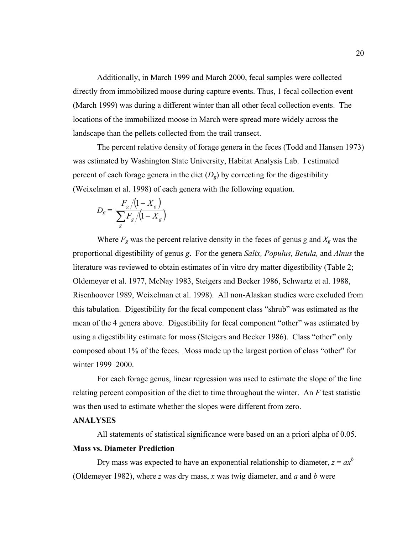Additionally, in March 1999 and March 2000, fecal samples were collected directly from immobilized moose during capture events. Thus, 1 fecal collection event (March 1999) was during a different winter than all other fecal collection events. The locations of the immobilized moose in March were spread more widely across the landscape than the pellets collected from the trail transect.

The percent relative density of forage genera in the feces (Todd and Hansen 1973) was estimated by Washington State University, Habitat Analysis Lab. I estimated percent of each forage genera in the diet  $(D<sub>g</sub>)$  by correcting for the digestibility (Weixelman et al. 1998) of each genera with the following equation.

$$
D_{g} = \frac{F_{g}/(1 - X_{g})}{\sum_{g} F_{g}/(1 - X_{g})}
$$

Where  $F_g$  was the percent relative density in the feces of genus g and  $X_g$  was the proportional digestibility of genus *g*. For the genera *Salix, Populus, Betula,* and *Alnus* the literature was reviewed to obtain estimates of in vitro dry matter digestibility (Table 2; Oldemeyer et al. 1977, McNay 1983, Steigers and Becker 1986, Schwartz et al. 1988, Risenhoover 1989, Weixelman et al. 1998). All non-Alaskan studies were excluded from this tabulation. Digestibility for the fecal component class "shrub" was estimated as the mean of the 4 genera above. Digestibility for fecal component "other" was estimated by using a digestibility estimate for moss (Steigers and Becker 1986). Class "other" only composed about 1% of the feces. Moss made up the largest portion of class "other" for winter 1999–2000.

For each forage genus, linear regression was used to estimate the slope of the line relating percent composition of the diet to time throughout the winter. An *F* test statistic was then used to estimate whether the slopes were different from zero.

# **ANALYSES**

All statements of statistical significance were based on an a priori alpha of 0.05.

# **Mass vs. Diameter Prediction**

Dry mass was expected to have an exponential relationship to diameter,  $z = ax^b$ (Oldemeyer 1982), where *z* was dry mass, *x* was twig diameter, and *a* and *b* were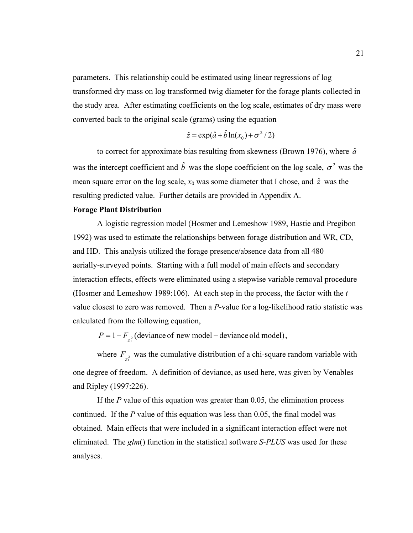parameters. This relationship could be estimated using linear regressions of log transformed dry mass on log transformed twig diameter for the forage plants collected in the study area. After estimating coefficients on the log scale, estimates of dry mass were converted back to the original scale (grams) using the equation

$$
\hat{z} = \exp(\hat{a} + \hat{b}\ln(x_0) + \sigma^2/2)
$$

to correct for approximate bias resulting from skewness (Brown 1976), where  $\hat{a}$ was the intercept coefficient and  $\hat{b}$  was the slope coefficient on the log scale,  $\sigma^2$  was the mean square error on the log scale,  $x_0$  was some diameter that I chose, and  $\hat{z}$  was the resulting predicted value. Further details are provided in Appendix A.

### **Forage Plant Distribution**

A logistic regression model (Hosmer and Lemeshow 1989, Hastie and Pregibon 1992) was used to estimate the relationships between forage distribution and WR, CD, and HD. This analysis utilized the forage presence/absence data from all 480 aerially-surveyed points. Starting with a full model of main effects and secondary interaction effects, effects were eliminated using a stepwise variable removal procedure (Hosmer and Lemeshow 1989:106). At each step in the process, the factor with the *t* value closest to zero was removed. Then a *P*-value for a log-likelihood ratio statistic was calculated from the following equation,

 $P = 1 - F_{\chi_1^2}$  (deviance of new model – deviance old model),

where  $F_{\chi_1^2}$  was the cumulative distribution of a chi-square random variable with one degree of freedom. A definition of deviance, as used here, was given by Venables and Ripley (1997:226).

If the *P* value of this equation was greater than 0.05, the elimination process continued. If the *P* value of this equation was less than 0.05, the final model was obtained. Main effects that were included in a significant interaction effect were not eliminated. The *glm*() function in the statistical software *S-PLUS* was used for these analyses.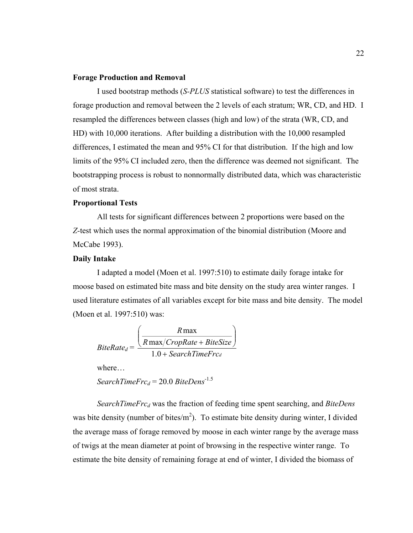#### **Forage Production and Removal**

I used bootstrap methods (*S-PLUS* statistical software) to test the differences in forage production and removal between the 2 levels of each stratum; WR, CD, and HD. I resampled the differences between classes (high and low) of the strata (WR, CD, and HD) with 10,000 iterations. After building a distribution with the 10,000 resampled differences, I estimated the mean and 95% CI for that distribution. If the high and low limits of the 95% CI included zero, then the difference was deemed not significant. The bootstrapping process is robust to nonnormally distributed data, which was characteristic of most strata.

#### **Proportional Tests**

All tests for significant differences between 2 proportions were based on the *Z-*test which uses the normal approximation of the binomial distribution (Moore and McCabe 1993).

# **Daily Intake**

I adapted a model (Moen et al. 1997:510) to estimate daily forage intake for moose based on estimated bite mass and bite density on the study area winter ranges. I used literature estimates of all variables except for bite mass and bite density. The model (Moen et al. 1997:510) was:

$$
BiteRate_d = \frac{\left(\frac{R \max}{R \max/CropRate + BiteSize}\right)}{1.0 + SearchTimeFrc_d}
$$

where…

*SearchTimeFrcd* = 20.0 *BiteDens*-1.5

*SearchTimeFrc<sub>d</sub>* was the fraction of feeding time spent searching, and *BiteDens* was bite density (number of bites/ $m<sup>2</sup>$ ). To estimate bite density during winter, I divided the average mass of forage removed by moose in each winter range by the average mass of twigs at the mean diameter at point of browsing in the respective winter range. To estimate the bite density of remaining forage at end of winter, I divided the biomass of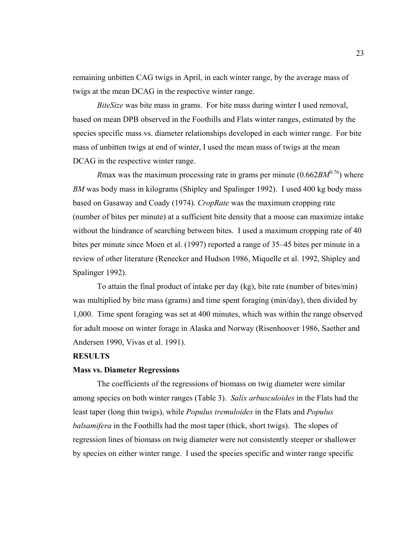remaining unbitten CAG twigs in April, in each winter range, by the average mass of twigs at the mean DCAG in the respective winter range.

*BiteSize* was bite mass in grams. For bite mass during winter I used removal, based on mean DPB observed in the Foothills and Flats winter ranges, estimated by the species specific mass vs. diameter relationships developed in each winter range. For bite mass of unbitten twigs at end of winter, I used the mean mass of twigs at the mean DCAG in the respective winter range.

*Rmax was the maximum processing rate in grams per minute*  $(0.662BM^{0.76})$  *where BM* was body mass in kilograms (Shipley and Spalinger 1992). I used 400 kg body mass based on Gasaway and Coady (1974). *CropRate* was the maximum cropping rate (number of bites per minute) at a sufficient bite density that a moose can maximize intake without the hindrance of searching between bites. I used a maximum cropping rate of 40 bites per minute since Moen et al. (1997) reported a range of 35–45 bites per minute in a review of other literature (Renecker and Hudson 1986, Miquelle et al. 1992, Shipley and Spalinger 1992).

To attain the final product of intake per day (kg), bite rate (number of bites/min) was multiplied by bite mass (grams) and time spent foraging (min/day), then divided by 1,000. Time spent foraging was set at 400 minutes, which was within the range observed for adult moose on winter forage in Alaska and Norway (Risenhoover 1986, Saether and Andersen 1990, Vivas et al. 1991).

# **RESULTS**

## **Mass vs. Diameter Regressions**

The coefficients of the regressions of biomass on twig diameter were similar among species on both winter ranges (Table 3). *Salix arbusculoides* in the Flats had the least taper (long thin twigs), while *Populus tremuloides* in the Flats and *Populus balsamifera* in the Foothills had the most taper (thick, short twigs). The slopes of regression lines of biomass on twig diameter were not consistently steeper or shallower by species on either winter range. I used the species specific and winter range specific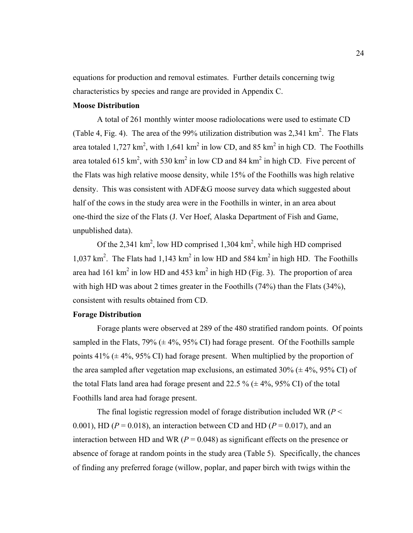equations for production and removal estimates. Further details concerning twig characteristics by species and range are provided in Appendix C.

# **Moose Distribution**

A total of 261 monthly winter moose radiolocations were used to estimate CD (Table 4, Fig. 4). The area of the 99% utilization distribution was  $2,341 \text{ km}^2$ . The Flats area totaled 1,727 km<sup>2</sup>, with 1,641 km<sup>2</sup> in low CD, and 85 km<sup>2</sup> in high CD. The Foothills area totaled 615 km<sup>2</sup>, with 530 km<sup>2</sup> in low CD and 84 km<sup>2</sup> in high CD. Five percent of the Flats was high relative moose density, while 15% of the Foothills was high relative density. This was consistent with ADF&G moose survey data which suggested about half of the cows in the study area were in the Foothills in winter, in an area about one-third the size of the Flats (J. Ver Hoef, Alaska Department of Fish and Game, unpublished data).

Of the 2,341  $\text{km}^2$ , low HD comprised 1,304  $\text{km}^2$ , while high HD comprised 1,037 km<sup>2</sup>. The Flats had 1,143 km<sup>2</sup> in low HD and 584 km<sup>2</sup> in high HD. The Foothills area had 161 km<sup>2</sup> in low HD and 453 km<sup>2</sup> in high HD (Fig. 3). The proportion of area with high HD was about 2 times greater in the Foothills (74%) than the Flats (34%), consistent with results obtained from CD.

# **Forage Distribution**

Forage plants were observed at 289 of the 480 stratified random points. Of points sampled in the Flats,  $79\%$  ( $\pm$  4%,  $95\%$  CI) had forage present. Of the Foothills sample points  $41\%$  ( $\pm$  4%, 95% CI) had forage present. When multiplied by the proportion of the area sampled after vegetation map exclusions, an estimated  $30\%$  ( $\pm$  4%, 95% CI) of the total Flats land area had forage present and 22.5 %  $(\pm 4\%, 95\% \text{ CI})$  of the total Foothills land area had forage present.

The final logistic regression model of forage distribution included WR (*P* < 0.001), HD ( $P = 0.018$ ), an interaction between CD and HD ( $P = 0.017$ ), and an interaction between HD and WR ( $P = 0.048$ ) as significant effects on the presence or absence of forage at random points in the study area (Table 5). Specifically, the chances of finding any preferred forage (willow, poplar, and paper birch with twigs within the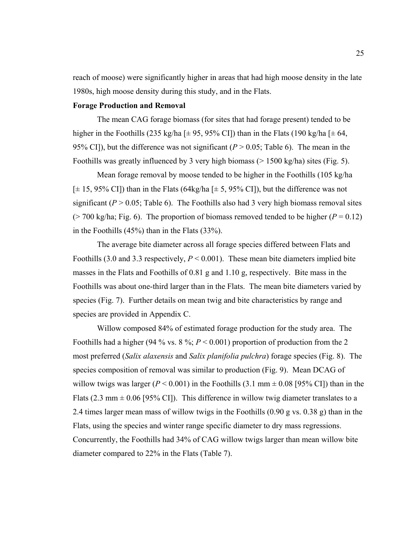reach of moose) were significantly higher in areas that had high moose density in the late 1980s, high moose density during this study, and in the Flats.

# **Forage Production and Removal**

The mean CAG forage biomass (for sites that had forage present) tended to be higher in the Foothills (235 kg/ha [ $\pm$  95, 95% CI]) than in the Flats (190 kg/ha [ $\pm$  64, 95% CI]), but the difference was not significant  $(P > 0.05$ ; Table 6). The mean in the Foothills was greatly influenced by 3 very high biomass  $(> 1500 \text{ kg/ha})$  sites (Fig. 5).

Mean forage removal by moose tended to be higher in the Foothills (105 kg/ha  $[\pm 15, 95\% \text{ CI}]$  than in the Flats (64kg/ha  $[\pm 5, 95\% \text{ CI}]$ ), but the difference was not significant ( $P > 0.05$ ; Table 6). The Foothills also had 3 very high biomass removal sites ( $> 700$  kg/ha; Fig. 6). The proportion of biomass removed tended to be higher ( $P = 0.12$ ) in the Foothills (45%) than in the Flats (33%).

The average bite diameter across all forage species differed between Flats and Foothills (3.0 and 3.3 respectively,  $P < 0.001$ ). These mean bite diameters implied bite masses in the Flats and Foothills of 0.81 g and 1.10 g, respectively. Bite mass in the Foothills was about one-third larger than in the Flats. The mean bite diameters varied by species (Fig. 7). Further details on mean twig and bite characteristics by range and species are provided in Appendix C.

Willow composed 84% of estimated forage production for the study area. The Foothills had a higher (94 % vs.  $8\%$ ;  $P < 0.001$ ) proportion of production from the 2 most preferred (*Salix alaxensis* and *Salix planifolia pulchra*) forage species (Fig. 8). The species composition of removal was similar to production (Fig. 9). Mean DCAG of willow twigs was larger ( $P < 0.001$ ) in the Foothills (3.1 mm  $\pm$  0.08 [95% CI]) than in the Flats (2.3 mm  $\pm$  0.06 [95% CI]). This difference in willow twig diameter translates to a 2.4 times larger mean mass of willow twigs in the Foothills (0.90 g vs. 0.38 g) than in the Flats, using the species and winter range specific diameter to dry mass regressions. Concurrently, the Foothills had 34% of CAG willow twigs larger than mean willow bite diameter compared to 22% in the Flats (Table 7).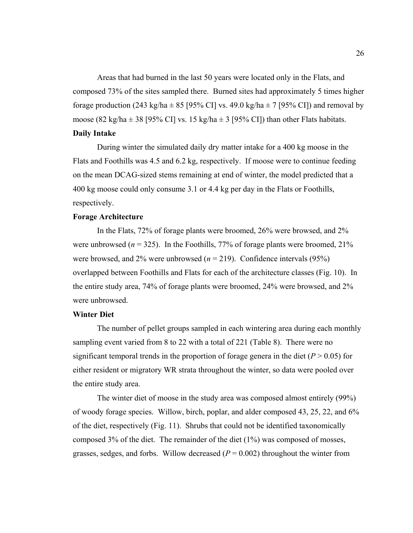Areas that had burned in the last 50 years were located only in the Flats, and composed 73% of the sites sampled there. Burned sites had approximately 5 times higher forage production (243 kg/ha  $\pm$  85 [95% CI] vs. 49.0 kg/ha  $\pm$  7 [95% CI]) and removal by moose (82 kg/ha  $\pm$  38 [95% CI] vs. 15 kg/ha  $\pm$  3 [95% CI]) than other Flats habitats. **Daily Intake** 

During winter the simulated daily dry matter intake for a 400 kg moose in the Flats and Foothills was 4.5 and 6.2 kg, respectively. If moose were to continue feeding on the mean DCAG-sized stems remaining at end of winter, the model predicted that a 400 kg moose could only consume 3.1 or 4.4 kg per day in the Flats or Foothills, respectively.

#### **Forage Architecture**

In the Flats, 72% of forage plants were broomed, 26% were browsed, and 2% were unbrowsed  $(n = 325)$ . In the Foothills, 77% of forage plants were broomed, 21% were browsed, and 2% were unbrowsed  $(n = 219)$ . Confidence intervals (95%) overlapped between Foothills and Flats for each of the architecture classes (Fig. 10). In the entire study area, 74% of forage plants were broomed, 24% were browsed, and 2% were unbrowsed.

## **Winter Diet**

The number of pellet groups sampled in each wintering area during each monthly sampling event varied from 8 to 22 with a total of 221 (Table 8). There were no significant temporal trends in the proportion of forage genera in the diet  $(P > 0.05)$  for either resident or migratory WR strata throughout the winter, so data were pooled over the entire study area.

The winter diet of moose in the study area was composed almost entirely (99%) of woody forage species. Willow, birch, poplar, and alder composed 43, 25, 22, and 6% of the diet, respectively (Fig. 11). Shrubs that could not be identified taxonomically composed 3% of the diet. The remainder of the diet (1%) was composed of mosses, grasses, sedges, and forbs. Willow decreased  $(P = 0.002)$  throughout the winter from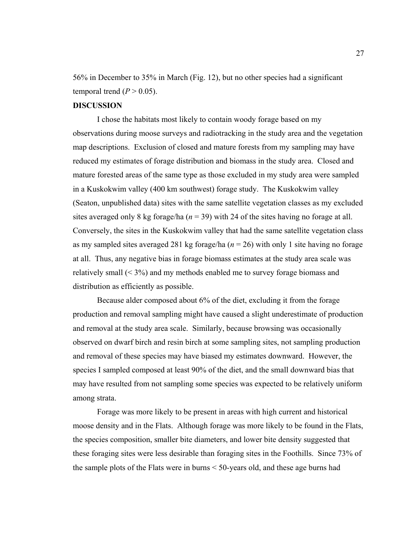56% in December to 35% in March (Fig. 12), but no other species had a significant temporal trend  $(P > 0.05)$ .

# **DISCUSSION**

I chose the habitats most likely to contain woody forage based on my observations during moose surveys and radiotracking in the study area and the vegetation map descriptions. Exclusion of closed and mature forests from my sampling may have reduced my estimates of forage distribution and biomass in the study area. Closed and mature forested areas of the same type as those excluded in my study area were sampled in a Kuskokwim valley (400 km southwest) forage study. The Kuskokwim valley (Seaton, unpublished data) sites with the same satellite vegetation classes as my excluded sites averaged only 8 kg forage/ha ( $n = 39$ ) with 24 of the sites having no forage at all. Conversely, the sites in the Kuskokwim valley that had the same satellite vegetation class as my sampled sites averaged 281 kg forage/ha (*n* = 26) with only 1 site having no forage at all. Thus, any negative bias in forage biomass estimates at the study area scale was relatively small (< 3%) and my methods enabled me to survey forage biomass and distribution as efficiently as possible.

Because alder composed about 6% of the diet, excluding it from the forage production and removal sampling might have caused a slight underestimate of production and removal at the study area scale. Similarly, because browsing was occasionally observed on dwarf birch and resin birch at some sampling sites, not sampling production and removal of these species may have biased my estimates downward. However, the species I sampled composed at least 90% of the diet, and the small downward bias that may have resulted from not sampling some species was expected to be relatively uniform among strata.

Forage was more likely to be present in areas with high current and historical moose density and in the Flats. Although forage was more likely to be found in the Flats, the species composition, smaller bite diameters, and lower bite density suggested that these foraging sites were less desirable than foraging sites in the Foothills. Since 73% of the sample plots of the Flats were in burns < 50-years old, and these age burns had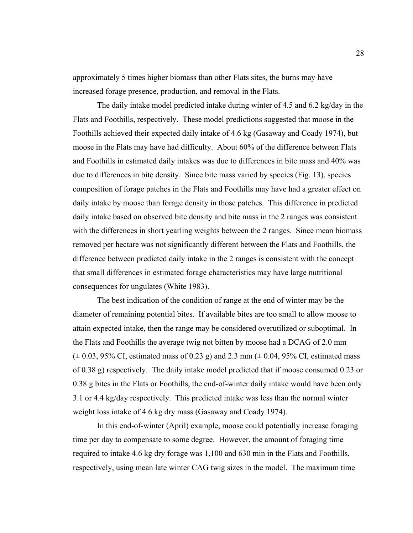approximately 5 times higher biomass than other Flats sites, the burns may have increased forage presence, production, and removal in the Flats.

The daily intake model predicted intake during winter of 4.5 and 6.2 kg/day in the Flats and Foothills, respectively. These model predictions suggested that moose in the Foothills achieved their expected daily intake of 4.6 kg (Gasaway and Coady 1974), but moose in the Flats may have had difficulty. About 60% of the difference between Flats and Foothills in estimated daily intakes was due to differences in bite mass and 40% was due to differences in bite density. Since bite mass varied by species (Fig. 13), species composition of forage patches in the Flats and Foothills may have had a greater effect on daily intake by moose than forage density in those patches. This difference in predicted daily intake based on observed bite density and bite mass in the 2 ranges was consistent with the differences in short yearling weights between the 2 ranges. Since mean biomass removed per hectare was not significantly different between the Flats and Foothills, the difference between predicted daily intake in the 2 ranges is consistent with the concept that small differences in estimated forage characteristics may have large nutritional consequences for ungulates (White 1983).

The best indication of the condition of range at the end of winter may be the diameter of remaining potential bites. If available bites are too small to allow moose to attain expected intake, then the range may be considered overutilized or suboptimal. In the Flats and Foothills the average twig not bitten by moose had a DCAG of 2.0 mm  $(\pm 0.03, 95\% \text{ CI}, \text{estimated mass of } 0.23 \text{ g})$  and 2.3 mm ( $\pm 0.04, 95\% \text{ CI}, \text{estimated mass}$ ) of 0.38 g) respectively. The daily intake model predicted that if moose consumed 0.23 or 0.38 g bites in the Flats or Foothills, the end-of-winter daily intake would have been only 3.1 or 4.4 kg/day respectively. This predicted intake was less than the normal winter weight loss intake of 4.6 kg dry mass (Gasaway and Coady 1974).

In this end-of-winter (April) example, moose could potentially increase foraging time per day to compensate to some degree. However, the amount of foraging time required to intake 4.6 kg dry forage was 1,100 and 630 min in the Flats and Foothills, respectively, using mean late winter CAG twig sizes in the model. The maximum time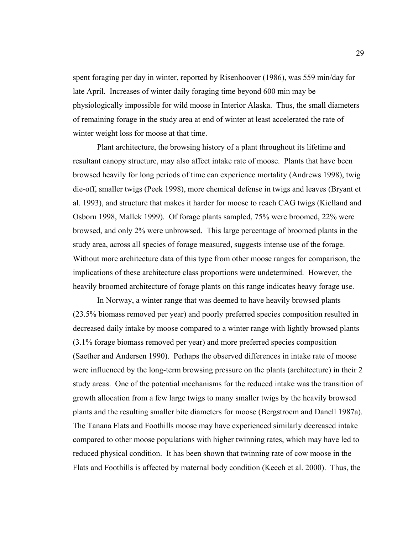spent foraging per day in winter, reported by Risenhoover (1986), was 559 min/day for late April. Increases of winter daily foraging time beyond 600 min may be physiologically impossible for wild moose in Interior Alaska. Thus, the small diameters of remaining forage in the study area at end of winter at least accelerated the rate of winter weight loss for moose at that time.

Plant architecture, the browsing history of a plant throughout its lifetime and resultant canopy structure, may also affect intake rate of moose. Plants that have been browsed heavily for long periods of time can experience mortality (Andrews 1998), twig die-off, smaller twigs (Peek 1998), more chemical defense in twigs and leaves (Bryant et al. 1993), and structure that makes it harder for moose to reach CAG twigs (Kielland and Osborn 1998, Mallek 1999). Of forage plants sampled, 75% were broomed, 22% were browsed, and only 2% were unbrowsed. This large percentage of broomed plants in the study area, across all species of forage measured, suggests intense use of the forage. Without more architecture data of this type from other moose ranges for comparison, the implications of these architecture class proportions were undetermined. However, the heavily broomed architecture of forage plants on this range indicates heavy forage use.

In Norway, a winter range that was deemed to have heavily browsed plants (23.5% biomass removed per year) and poorly preferred species composition resulted in decreased daily intake by moose compared to a winter range with lightly browsed plants (3.1% forage biomass removed per year) and more preferred species composition (Saether and Andersen 1990). Perhaps the observed differences in intake rate of moose were influenced by the long-term browsing pressure on the plants (architecture) in their 2 study areas. One of the potential mechanisms for the reduced intake was the transition of growth allocation from a few large twigs to many smaller twigs by the heavily browsed plants and the resulting smaller bite diameters for moose (Bergstroem and Danell 1987a). The Tanana Flats and Foothills moose may have experienced similarly decreased intake compared to other moose populations with higher twinning rates, which may have led to reduced physical condition. It has been shown that twinning rate of cow moose in the Flats and Foothills is affected by maternal body condition (Keech et al. 2000). Thus, the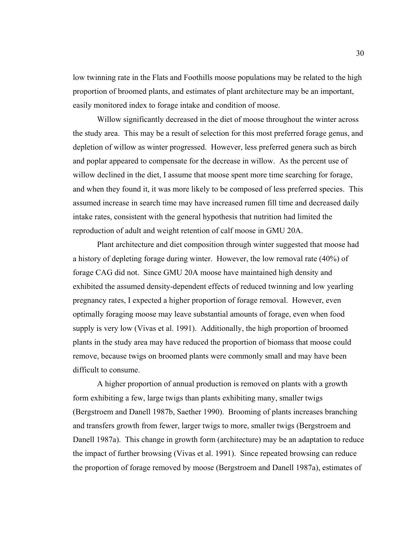low twinning rate in the Flats and Foothills moose populations may be related to the high proportion of broomed plants, and estimates of plant architecture may be an important, easily monitored index to forage intake and condition of moose.

Willow significantly decreased in the diet of moose throughout the winter across the study area. This may be a result of selection for this most preferred forage genus, and depletion of willow as winter progressed. However, less preferred genera such as birch and poplar appeared to compensate for the decrease in willow. As the percent use of willow declined in the diet, I assume that moose spent more time searching for forage, and when they found it, it was more likely to be composed of less preferred species. This assumed increase in search time may have increased rumen fill time and decreased daily intake rates, consistent with the general hypothesis that nutrition had limited the reproduction of adult and weight retention of calf moose in GMU 20A.

Plant architecture and diet composition through winter suggested that moose had a history of depleting forage during winter. However, the low removal rate (40%) of forage CAG did not. Since GMU 20A moose have maintained high density and exhibited the assumed density-dependent effects of reduced twinning and low yearling pregnancy rates, I expected a higher proportion of forage removal. However, even optimally foraging moose may leave substantial amounts of forage, even when food supply is very low (Vivas et al. 1991). Additionally, the high proportion of broomed plants in the study area may have reduced the proportion of biomass that moose could remove, because twigs on broomed plants were commonly small and may have been difficult to consume.

A higher proportion of annual production is removed on plants with a growth form exhibiting a few, large twigs than plants exhibiting many, smaller twigs (Bergstroem and Danell 1987b, Saether 1990). Brooming of plants increases branching and transfers growth from fewer, larger twigs to more, smaller twigs (Bergstroem and Danell 1987a). This change in growth form (architecture) may be an adaptation to reduce the impact of further browsing (Vivas et al. 1991). Since repeated browsing can reduce the proportion of forage removed by moose (Bergstroem and Danell 1987a), estimates of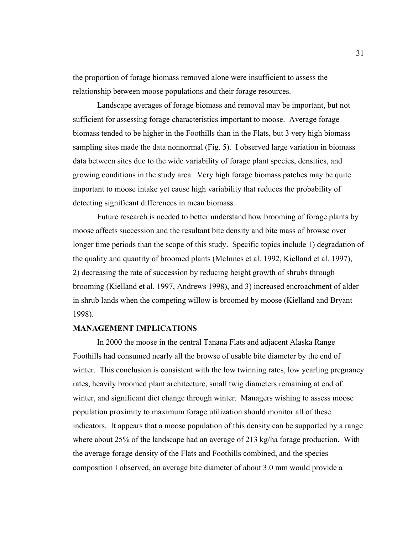the proportion of forage biomass removed alone were insufficient to assess the relationship between moose populations and their forage resources.

Landscape averages of forage biomass and removal may be important, but not sufficient for assessing forage characteristics important to moose. Average forage biomass tended to be higher in the Foothills than in the Flats, but 3 very high biomass sampling sites made the data nonnormal (Fig. 5). I observed large variation in biomass data between sites due to the wide variability of forage plant species, densities, and growing conditions in the study area. Very high forage biomass patches may be quite important to moose intake yet cause high variability that reduces the probability of detecting significant differences in mean biomass.

Future research is needed to better understand how brooming of forage plants by moose affects succession and the resultant bite density and bite mass of browse over longer time periods than the scope of this study. Specific topics include 1) degradation of the quality and quantity of broomed plants (McInnes et al. 1992, Kielland et al. 1997), 2) decreasing the rate of succession by reducing height growth of shrubs through brooming (Kielland et al. 1997, Andrews 1998), and 3) increased encroachment of alder in shrub lands when the competing willow is broomed by moose (Kielland and Bryant 1998).

#### **MANAGEMENT IMPLICATIONS**

In 2000 the moose in the central Tanana Flats and adjacent Alaska Range Foothills had consumed nearly all the browse of usable bite diameter by the end of winter. This conclusion is consistent with the low twinning rates, low yearling pregnancy rates, heavily broomed plant architecture, small twig diameters remaining at end of winter, and significant diet change through winter. Managers wishing to assess moose population proximity to maximum forage utilization should monitor all of these indicators. It appears that a moose population of this density can be supported by a range where about 25% of the landscape had an average of 213 kg/ha forage production. With the average forage density of the Flats and Foothills combined, and the species composition I observed, an average bite diameter of about 3.0 mm would provide a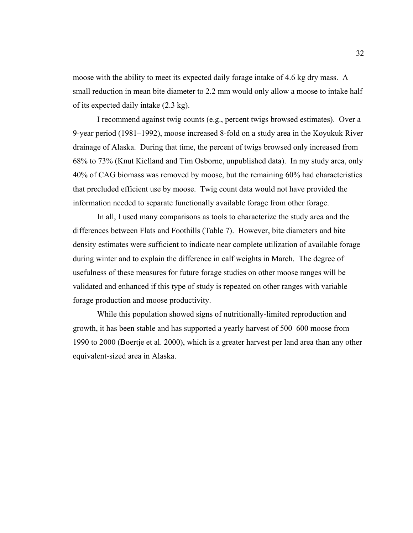moose with the ability to meet its expected daily forage intake of 4.6 kg dry mass. A small reduction in mean bite diameter to 2.2 mm would only allow a moose to intake half of its expected daily intake (2.3 kg).

I recommend against twig counts (e.g., percent twigs browsed estimates). Over a 9-year period (1981–1992), moose increased 8-fold on a study area in the Koyukuk River drainage of Alaska. During that time, the percent of twigs browsed only increased from 68% to 73% (Knut Kielland and Tim Osborne, unpublished data). In my study area, only 40% of CAG biomass was removed by moose, but the remaining 60% had characteristics that precluded efficient use by moose. Twig count data would not have provided the information needed to separate functionally available forage from other forage.

In all, I used many comparisons as tools to characterize the study area and the differences between Flats and Foothills (Table 7). However, bite diameters and bite density estimates were sufficient to indicate near complete utilization of available forage during winter and to explain the difference in calf weights in March. The degree of usefulness of these measures for future forage studies on other moose ranges will be validated and enhanced if this type of study is repeated on other ranges with variable forage production and moose productivity.

While this population showed signs of nutritionally-limited reproduction and growth, it has been stable and has supported a yearly harvest of 500–600 moose from 1990 to 2000 (Boertje et al. 2000), which is a greater harvest per land area than any other equivalent-sized area in Alaska.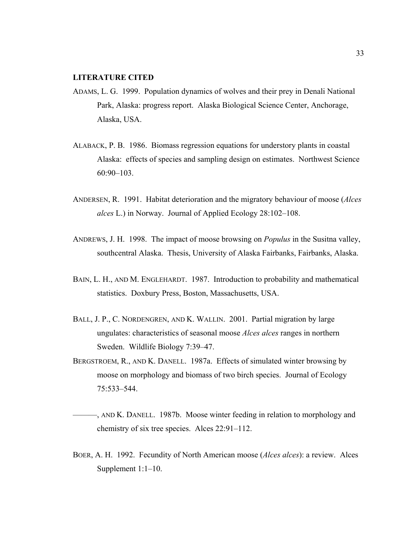# **LITERATURE CITED**

- ADAMS, L. G. 1999. Population dynamics of wolves and their prey in Denali National Park, Alaska: progress report. Alaska Biological Science Center, Anchorage, Alaska, USA.
- ALABACK, P. B. 1986. Biomass regression equations for understory plants in coastal Alaska: effects of species and sampling design on estimates. Northwest Science 60:90–103.
- ANDERSEN, R. 1991. Habitat deterioration and the migratory behaviour of moose (*Alces alces* L.) in Norway. Journal of Applied Ecology 28:102–108.
- ANDREWS, J. H. 1998. The impact of moose browsing on *Populus* in the Susitna valley, southcentral Alaska. Thesis, University of Alaska Fairbanks, Fairbanks, Alaska.
- BAIN, L. H., AND M. ENGLEHARDT. 1987. Introduction to probability and mathematical statistics. Doxbury Press, Boston, Massachusetts, USA.
- BALL, J. P., C. NORDENGREN, AND K. WALLIN. 2001. Partial migration by large ungulates: characteristics of seasonal moose *Alces alces* ranges in northern Sweden. Wildlife Biology 7:39–47.
- BERGSTROEM, R., AND K. DANELL. 1987a. Effects of simulated winter browsing by moose on morphology and biomass of two birch species. Journal of Ecology 75:533–544.

———, AND K. DANELL. 1987b. Moose winter feeding in relation to morphology and chemistry of six tree species. Alces 22:91–112.

BOER, A. H. 1992. Fecundity of North American moose (*Alces alces*): a review. Alces Supplement 1:1–10.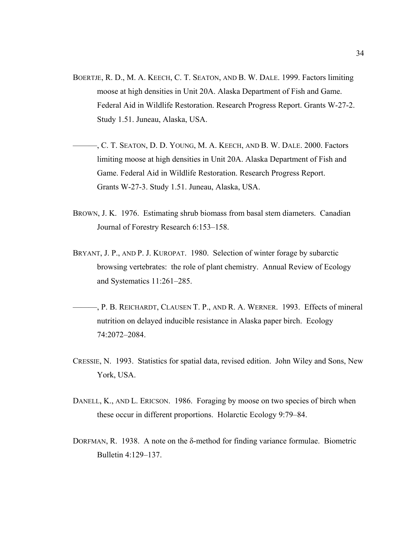- BOERTJE, R. D., M. A. KEECH, C. T. SEATON, AND B. W. DALE. 1999. Factors limiting moose at high densities in Unit 20A. Alaska Department of Fish and Game. Federal Aid in Wildlife Restoration. Research Progress Report. Grants W-27-2. Study 1.51. Juneau, Alaska, USA.
- ———, C. T. SEATON, D. D. YOUNG, M. A. KEECH, AND B. W. DALE. 2000. Factors limiting moose at high densities in Unit 20A. Alaska Department of Fish and Game. Federal Aid in Wildlife Restoration. Research Progress Report. Grants W-27-3. Study 1.51. Juneau, Alaska, USA.
- BROWN, J. K. 1976. Estimating shrub biomass from basal stem diameters. Canadian Journal of Forestry Research 6:153–158.
- BRYANT, J. P., AND P. J. KUROPAT. 1980. Selection of winter forage by subarctic browsing vertebrates: the role of plant chemistry. Annual Review of Ecology and Systematics 11:261–285.
- ———, P. B. REICHARDT, CLAUSEN T. P., AND R. A. WERNER. 1993. Effects of mineral nutrition on delayed inducible resistance in Alaska paper birch. Ecology 74:2072–2084.
- CRESSIE, N. 1993. Statistics for spatial data, revised edition. John Wiley and Sons, New York, USA.
- DANELL, K., AND L. ERICSON. 1986. Foraging by moose on two species of birch when these occur in different proportions. Holarctic Ecology 9:79–84.
- DORFMAN, R. 1938. A note on the δ-method for finding variance formulae. Biometric Bulletin 4:129–137.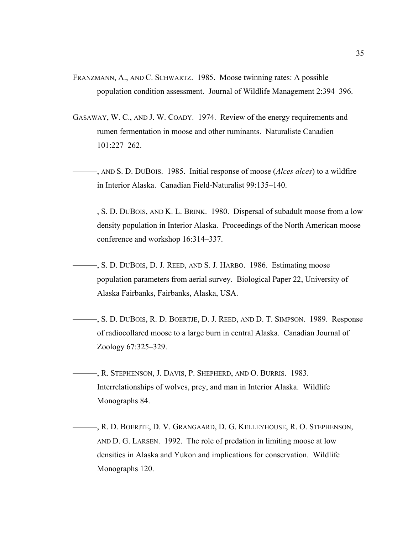- FRANZMANN, A., AND C. SCHWARTZ. 1985. Moose twinning rates: A possible population condition assessment. Journal of Wildlife Management 2:394–396.
- GASAWAY, W. C., AND J. W. COADY. 1974. Review of the energy requirements and rumen fermentation in moose and other ruminants. Naturaliste Canadien 101:227–262.
- ———, AND S. D. DUBOIS. 1985. Initial response of moose (*Alces alces*) to a wildfire in Interior Alaska. Canadian Field-Naturalist 99:135–140.
- ———, S. D. DUBOIS, AND K. L. BRINK. 1980. Dispersal of subadult moose from a low density population in Interior Alaska. Proceedings of the North American moose conference and workshop 16:314–337.
	- ———, S. D. DUBOIS, D. J. REED, AND S. J. HARBO. 1986. Estimating moose population parameters from aerial survey. Biological Paper 22, University of Alaska Fairbanks, Fairbanks, Alaska, USA.
	- ———, S. D. DUBOIS, R. D. BOERTJE, D. J. REED, AND D. T. SIMPSON. 1989. Response of radiocollared moose to a large burn in central Alaska. Canadian Journal of Zoology 67:325–329.
- ———, R. STEPHENSON, J. DAVIS, P. SHEPHERD, AND O. BURRIS. 1983. Interrelationships of wolves, prey, and man in Interior Alaska. Wildlife Monographs 84.
- ———, R. D. BOERJTE, D. V. GRANGAARD, D. G. KELLEYHOUSE, R. O. STEPHENSON, AND D. G. LARSEN. 1992. The role of predation in limiting moose at low densities in Alaska and Yukon and implications for conservation. Wildlife Monographs 120.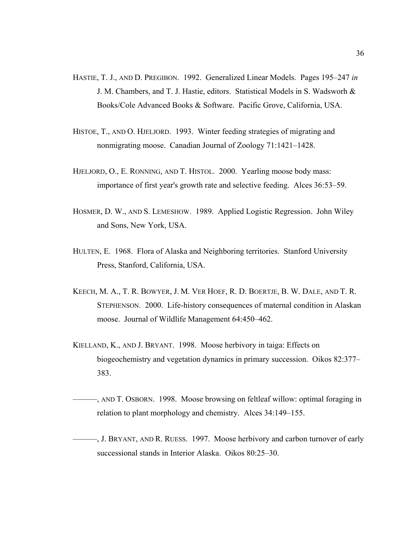- HASTIE, T. J., AND D. PREGIBON. 1992. Generalized Linear Models. Pages 195–247 *in* J. M. Chambers, and T. J. Hastie, editors. Statistical Models in S. Wadsworh & Books/Cole Advanced Books & Software. Pacific Grove, California, USA.
- HISTOE, T., AND O. HJELJORD. 1993. Winter feeding strategies of migrating and nonmigrating moose. Canadian Journal of Zoology 71:1421–1428.
- HJELJORD, O., E. RONNING, AND T. HISTOL. 2000. Yearling moose body mass: importance of first year's growth rate and selective feeding. Alces 36:53–59.
- HOSMER, D. W., AND S. LEMESHOW. 1989. Applied Logistic Regression. John Wiley and Sons, New York, USA.
- HULTEN, E. 1968. Flora of Alaska and Neighboring territories. Stanford University Press, Stanford, California, USA.
- KEECH, M. A., T. R. BOWYER, J. M. VER HOEF, R. D. BOERTJE, B. W. DALE, AND T. R. STEPHENSON. 2000. Life-history consequences of maternal condition in Alaskan moose. Journal of Wildlife Management 64:450–462.
- KIELLAND, K., AND J. BRYANT. 1998. Moose herbivory in taiga: Effects on biogeochemistry and vegetation dynamics in primary succession. Oikos 82:377– 383.
- ———, AND T. OSBORN. 1998. Moose browsing on feltleaf willow: optimal foraging in relation to plant morphology and chemistry. Alces 34:149–155.
- ———, J. BRYANT, AND R. RUESS. 1997. Moose herbivory and carbon turnover of early successional stands in Interior Alaska. Oikos 80:25–30.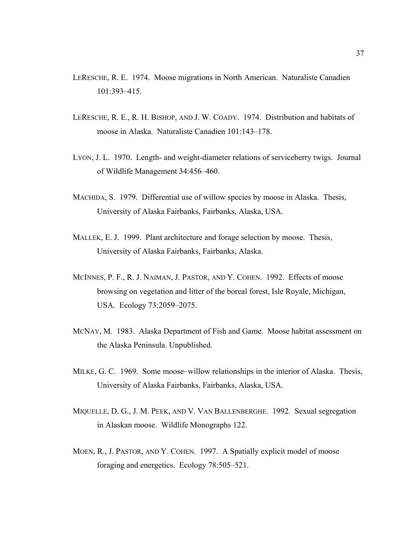- LERESCHE, R. E. 1974. Moose migrations in North American. Naturaliste Canadien 101:393–415.
- LERESCHE, R. E., R. H. BISHOP, AND J. W. COADY. 1974. Distribution and habitats of moose in Alaska. Naturaliste Canadien 101:143–178.
- LYON, J. L. 1970. Length- and weight-diameter relations of serviceberry twigs. Journal of Wildlife Management 34:456–460.
- MACHIDA, S. 1979. Differential use of willow species by moose in Alaska. Thesis, University of Alaska Fairbanks, Fairbanks, Alaska, USA.
- MALLEK, E. J. 1999. Plant architecture and forage selection by moose. Thesis, University of Alaska Fairbanks, Fairbanks, Alaska.
- MCINNES, P. F., R. J. NAIMAN, J. PASTOR, AND Y. COHEN. 1992. Effects of moose browsing on vegetation and litter of the boreal forest, Isle Royale, Michigan, USA. Ecology 73:2059–2075.
- MCNAY, M. 1983. Alaska Department of Fish and Game. Moose habitat assessment on the Alaska Peninsula. Unpublished.
- MILKE, G. C. 1969. Some moose–willow relationships in the interior of Alaska. Thesis, University of Alaska Fairbanks, Fairbanks, Alaska, USA.
- MIQUELLE, D. G., J. M. PEEK, AND V. VAN BALLENBERGHE. 1992. Sexual segregation in Alaskan moose. Wildlife Monographs 122.
- MOEN, R., J. PASTOR, AND Y. COHEN. 1997. A Spatially explicit model of moose foraging and energetics. Ecology 78:505–521.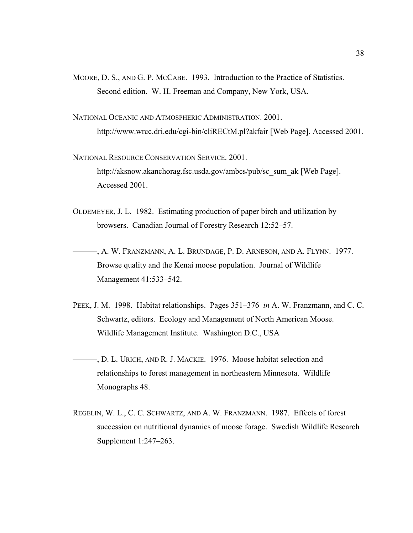- MOORE, D. S., AND G. P. MCCABE. 1993. Introduction to the Practice of Statistics. Second edition. W. H. Freeman and Company, New York, USA.
- NATIONAL OCEANIC AND ATMOSPHERIC ADMINISTRATION. 2001. http://www.wrcc.dri.edu/cgi-bin/cliRECtM.pl?akfair [Web Page]. Accessed 2001.
- NATIONAL RESOURCE CONSERVATION SERVICE. 2001. http://aksnow.akanchorag.fsc.usda.gov/ambcs/pub/sc\_sum\_ak [Web Page]. Accessed 2001.
- OLDEMEYER, J. L. 1982. Estimating production of paper birch and utilization by browsers. Canadian Journal of Forestry Research 12:52–57.
- ———, A. W. FRANZMANN, A. L. BRUNDAGE, P. D. ARNESON, AND A. FLYNN. 1977. Browse quality and the Kenai moose population. Journal of Wildlife Management 41:533–542.
- PEEK, J. M. 1998. Habitat relationships. Pages 351–376 *in* A. W. Franzmann, and C. C. Schwartz, editors. Ecology and Management of North American Moose. Wildlife Management Institute. Washington D.C., USA
- ———, D. L. URICH, AND R. J. MACKIE. 1976. Moose habitat selection and relationships to forest management in northeastern Minnesota. Wildlife Monographs 48.
- REGELIN, W. L., C. C. SCHWARTZ, AND A. W. FRANZMANN. 1987. Effects of forest succession on nutritional dynamics of moose forage. Swedish Wildlife Research Supplement 1:247–263.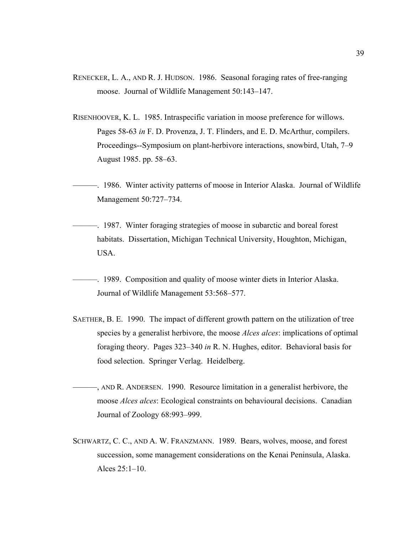- RENECKER, L. A., AND R. J. HUDSON. 1986. Seasonal foraging rates of free-ranging moose. Journal of Wildlife Management 50:143–147.
- RISENHOOVER, K. L. 1985. Intraspecific variation in moose preference for willows. Pages 58-63 *in* F. D. Provenza, J. T. Flinders, and E. D. McArthur, compilers. Proceedings--Symposium on plant-herbivore interactions, snowbird, Utah, 7–9 August 1985. pp. 58–63.
- ———. 1986. Winter activity patterns of moose in Interior Alaska. Journal of Wildlife Management 50:727–734.
- ———. 1987. Winter foraging strategies of moose in subarctic and boreal forest habitats. Dissertation, Michigan Technical University, Houghton, Michigan, USA.
- ———. 1989. Composition and quality of moose winter diets in Interior Alaska. Journal of Wildlife Management 53:568–577.
- SAETHER, B. E. 1990. The impact of different growth pattern on the utilization of tree species by a generalist herbivore, the moose *Alces alces*: implications of optimal foraging theory. Pages 323–340 *in* R. N. Hughes, editor. Behavioral basis for food selection. Springer Verlag. Heidelberg.
- ———, AND R. ANDERSEN. 1990. Resource limitation in a generalist herbivore, the moose *Alces alces*: Ecological constraints on behavioural decisions. Canadian Journal of Zoology 68:993–999.
- SCHWARTZ, C. C., AND A. W. FRANZMANN. 1989. Bears, wolves, moose, and forest succession, some management considerations on the Kenai Peninsula, Alaska. Alces 25:1–10.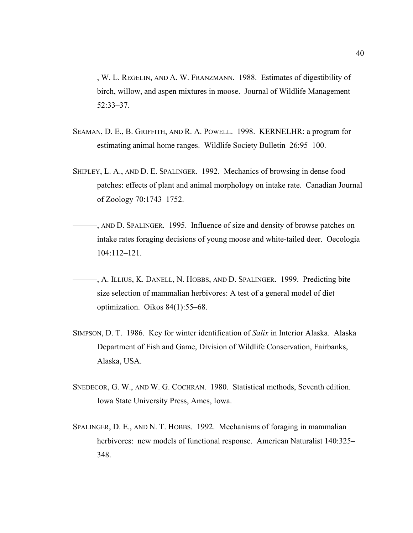- ———, W. L. REGELIN, AND A. W. FRANZMANN. 1988. Estimates of digestibility of birch, willow, and aspen mixtures in moose. Journal of Wildlife Management 52:33–37.
- SEAMAN, D. E., B. GRIFFITH, AND R. A. POWELL. 1998. KERNELHR: a program for estimating animal home ranges. Wildlife Society Bulletin 26:95–100.
- SHIPLEY, L. A., AND D. E. SPALINGER. 1992. Mechanics of browsing in dense food patches: effects of plant and animal morphology on intake rate. Canadian Journal of Zoology 70:1743–1752.
- ———, AND D. SPALINGER. 1995. Influence of size and density of browse patches on intake rates foraging decisions of young moose and white-tailed deer. Oecologia 104:112–121.
- ———, A. ILLIUS, K. DANELL, N. HOBBS, AND D. SPALINGER. 1999. Predicting bite size selection of mammalian herbivores: A test of a general model of diet optimization. Oikos 84(1):55–68.
- SIMPSON, D. T. 1986. Key for winter identification of *Salix* in Interior Alaska. Alaska Department of Fish and Game, Division of Wildlife Conservation, Fairbanks, Alaska, USA.
- SNEDECOR, G. W., AND W. G. COCHRAN. 1980. Statistical methods, Seventh edition. Iowa State University Press, Ames, Iowa.
- SPALINGER, D. E., AND N. T. HOBBS. 1992. Mechanisms of foraging in mammalian herbivores: new models of functional response. American Naturalist 140:325– 348.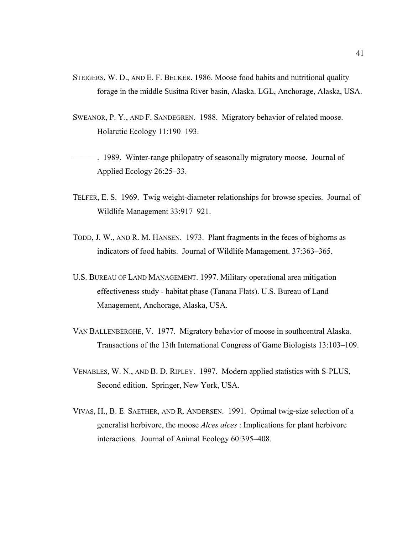- STEIGERS, W. D., AND E. F. BECKER. 1986. Moose food habits and nutritional quality forage in the middle Susitna River basin, Alaska. LGL, Anchorage, Alaska, USA.
- SWEANOR, P. Y., AND F. SANDEGREN. 1988. Migratory behavior of related moose. Holarctic Ecology 11:190–193.

**Example 2018** - 1989. Winter-range philopatry of seasonally migratory moose. Journal of Applied Ecology 26:25–33.

- TELFER, E. S. 1969. Twig weight-diameter relationships for browse species. Journal of Wildlife Management 33:917–921.
- TODD, J. W., AND R. M. HANSEN. 1973. Plant fragments in the feces of bighorns as indicators of food habits. Journal of Wildlife Management. 37:363–365.
- U.S. BUREAU OF LAND MANAGEMENT. 1997. Military operational area mitigation effectiveness study - habitat phase (Tanana Flats). U.S. Bureau of Land Management, Anchorage, Alaska, USA.
- VAN BALLENBERGHE, V. 1977. Migratory behavior of moose in southcentral Alaska. Transactions of the 13th International Congress of Game Biologists 13:103–109.
- VENABLES, W. N., AND B. D. RIPLEY. 1997. Modern applied statistics with S-PLUS, Second edition. Springer, New York, USA.
- VIVAS, H., B. E. SAETHER, AND R. ANDERSEN. 1991. Optimal twig-size selection of a generalist herbivore, the moose *Alces alces* : Implications for plant herbivore interactions. Journal of Animal Ecology 60:395–408.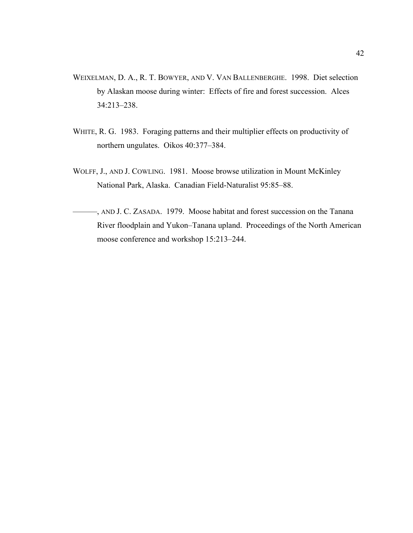- WEIXELMAN, D. A., R. T. BOWYER, AND V. VAN BALLENBERGHE. 1998. Diet selection by Alaskan moose during winter: Effects of fire and forest succession. Alces 34:213–238.
- WHITE, R. G. 1983. Foraging patterns and their multiplier effects on productivity of northern ungulates. Oikos 40:377–384.
- WOLFF, J., AND J. COWLING. 1981. Moose browse utilization in Mount McKinley National Park, Alaska. Canadian Field-Naturalist 95:85–88.
- ———, AND J. C. ZASADA. 1979. Moose habitat and forest succession on the Tanana River floodplain and Yukon–Tanana upland. Proceedings of the North American moose conference and workshop 15:213–244.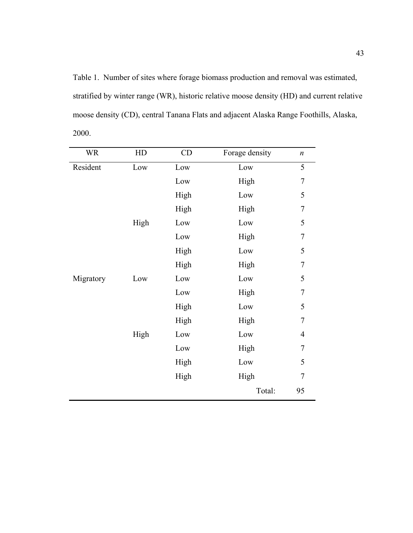Table 1. Number of sites where forage biomass production and removal was estimated, stratified by winter range (WR), historic relative moose density (HD) and current relative moose density (CD), central Tanana Flats and adjacent Alaska Range Foothills, Alaska, 2000.

| <b>WR</b> | HD   | CD   | Forage density | $\boldsymbol{n}$ |
|-----------|------|------|----------------|------------------|
| Resident  | Low  | Low  | Low            | 5                |
|           |      | Low  | High           | 7                |
|           |      | High | Low            | 5                |
|           |      | High | High           | 7                |
|           | High | Low  | Low            | 5                |
|           |      | Low  | High           | 7                |
|           |      | High | Low            | 5                |
|           |      | High | High           | 7                |
| Migratory | Low  | Low  | Low            | 5                |
|           |      | Low  | High           | 7                |
|           |      | High | Low            | 5                |
|           |      | High | High           | 7                |
|           | High | Low  | Low            | $\overline{4}$   |
|           |      | Low  | High           | 7                |
|           |      | High | Low            | 5                |
|           |      | High | High           | 7                |
|           |      |      | Total:         | 95               |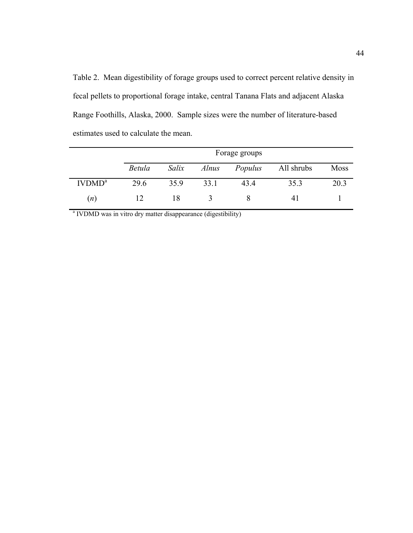Table 2. Mean digestibility of forage groups used to correct percent relative density in fecal pellets to proportional forage intake, central Tanana Flats and adjacent Alaska Range Foothills, Alaska, 2000. Sample sizes were the number of literature-based estimates used to calculate the mean.

|                    |        |       |              | Forage groups |            |             |
|--------------------|--------|-------|--------------|---------------|------------|-------------|
|                    | Betula | Salix | <i>Alnus</i> | Populus       | All shrubs | <b>Moss</b> |
| IVDMD <sup>a</sup> | 29.6   | 35.9  | 33.1         | 434           | 35.3       | 20.3        |
| (n)                | 12     | 18    |              |               |            |             |

<sup>a</sup> IVDMD was in vitro dry matter disappearance (digestibility)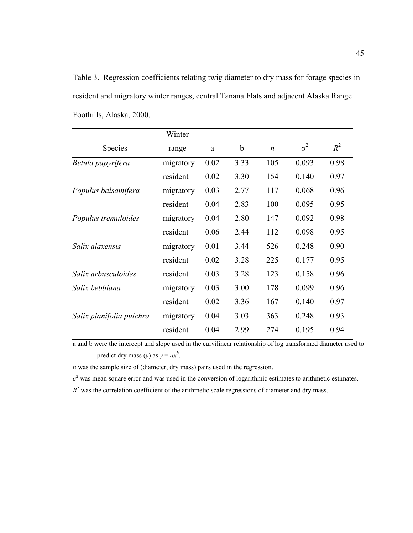Table 3. Regression coefficients relating twig diameter to dry mass for forage species in resident and migratory winter ranges, central Tanana Flats and adjacent Alaska Range Foothills, Alaska, 2000.

|                          | Winter    |      |      |                  |            |       |
|--------------------------|-----------|------|------|------------------|------------|-------|
| Species                  | range     | a    | b    | $\boldsymbol{n}$ | $\sigma^2$ | $R^2$ |
| Betula papyrifera        | migratory | 0.02 | 3.33 | 105              | 0.093      | 0.98  |
|                          | resident  | 0.02 | 3.30 | 154              | 0.140      | 0.97  |
| Populus balsamifera      | migratory | 0.03 | 2.77 | 117              | 0.068      | 0.96  |
|                          | resident  | 0.04 | 2.83 | 100              | 0.095      | 0.95  |
| Populus tremuloides      | migratory | 0.04 | 2.80 | 147              | 0.092      | 0.98  |
|                          | resident  | 0.06 | 2.44 | 112              | 0.098      | 0.95  |
| Salix alaxensis          | migratory | 0.01 | 3.44 | 526              | 0.248      | 0.90  |
|                          | resident  | 0.02 | 3.28 | 225              | 0.177      | 0.95  |
| Salix arbusculoides      | resident  | 0.03 | 3.28 | 123              | 0.158      | 0.96  |
| Salix bebbiana           | migratory | 0.03 | 3.00 | 178              | 0.099      | 0.96  |
|                          | resident  | 0.02 | 3.36 | 167              | 0.140      | 0.97  |
| Salix planifolia pulchra | migratory | 0.04 | 3.03 | 363              | 0.248      | 0.93  |
|                          | resident  | 0.04 | 2.99 | 274              | 0.195      | 0.94  |

a and b were the intercept and slope used in the curvilinear relationship of log transformed diameter used to predict dry mass (*y*) as  $y = ax^b$ .

*n* was the sample size of (diameter, dry mass) pairs used in the regression.

 $\sigma^2$  was mean square error and was used in the conversion of logarithmic estimates to arithmetic estimates.

 $R<sup>2</sup>$  was the correlation coefficient of the arithmetic scale regressions of diameter and dry mass.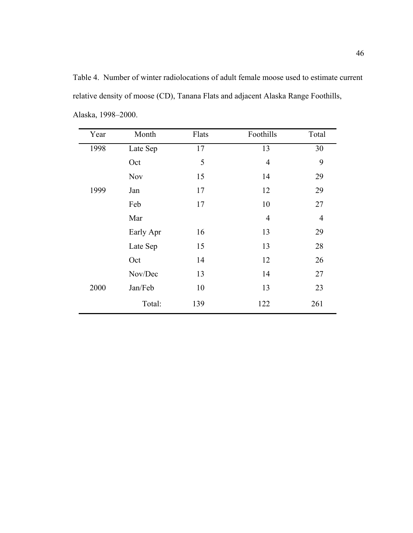Table 4. Number of winter radiolocations of adult female moose used to estimate current relative density of moose (CD), Tanana Flats and adjacent Alaska Range Foothills, Alaska, 1998–2000.

| Year | Month      | Flats | Foothills      | Total          |
|------|------------|-------|----------------|----------------|
| 1998 | Late Sep   | 17    | 13             | 30             |
|      | Oct        | 5     | $\overline{4}$ | 9              |
|      | <b>Nov</b> | 15    | 14             | 29             |
| 1999 | Jan        | 17    | 12             | 29             |
|      | Feb        | 17    | 10             | 27             |
|      | Mar        |       | $\overline{4}$ | $\overline{4}$ |
|      | Early Apr  | 16    | 13             | 29             |
|      | Late Sep   | 15    | 13             | 28             |
|      | Oct        | 14    | 12             | 26             |
|      | Nov/Dec    | 13    | 14             | 27             |
| 2000 | Jan/Feb    | 10    | 13             | 23             |
|      | Total:     | 139   | 122            | 261            |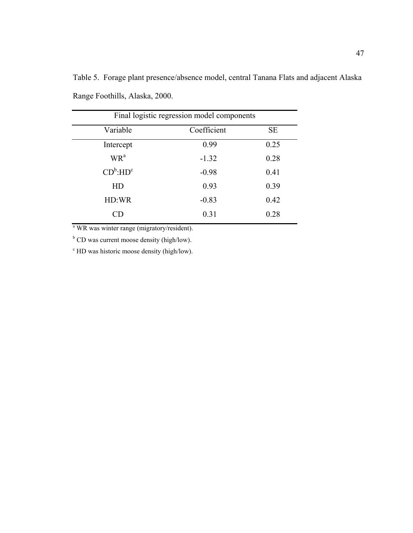|                 | Final logistic regression model components |           |
|-----------------|--------------------------------------------|-----------|
| Variable        | Coefficient                                | <b>SE</b> |
| Intercept       | 0.99                                       | 0.25      |
| WR <sup>a</sup> | $-1.32$                                    | 0.28      |
| $CD^b$ : $HD^c$ | $-0.98$                                    | 0.41      |
| HD              | 0.93                                       | 0.39      |
| HD:WR           | $-0.83$                                    | 0.42      |
| CD              | 0.31                                       | 0.28      |

Table 5. Forage plant presence/absence model, central Tanana Flats and adjacent Alaska Range Foothills, Alaska, 2000.

<sup>a</sup> WR was winter range (migratory/resident).

<sup>b</sup> CD was current moose density (high/low).

c HD was historic moose density (high/low).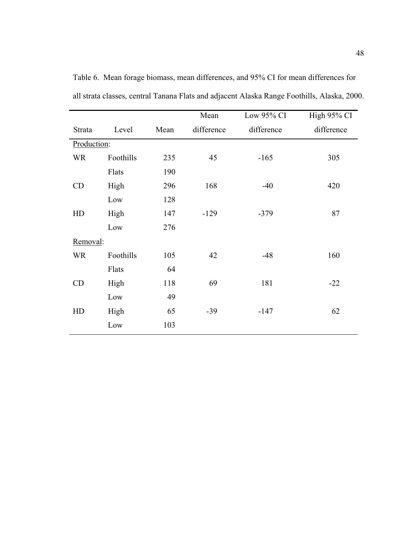|             |           |      | Mean       | Low 95% CI | High 95% CI |
|-------------|-----------|------|------------|------------|-------------|
| Strata      | Level     | Mean | difference | difference | difference  |
| Production: |           |      |            |            |             |
| <b>WR</b>   | Foothills | 235  | 45         | $-165$     | 305         |
|             | Flats     | 190  |            |            |             |
| CD          | High      | 296  | 168        | $-40$      | 420         |
|             | Low       | 128  |            |            |             |
| HD          | High      | 147  | $-129$     | $-379$     | 87          |
|             | Low       | 276  |            |            |             |
| Removal:    |           |      |            |            |             |
| <b>WR</b>   | Foothills | 105  | 42         | $-48$      | 160         |
|             | Flats     | 64   |            |            |             |
| CD          | High      | 118  | 69         | 181        | $-22$       |
|             | Low       | 49   |            |            |             |
| HD          | High      | 65   | $-39$      | $-147$     | 62          |
|             | Low       | 103  |            |            |             |

Table 6. Mean forage biomass, mean differences, and 95% CI for mean differences for all strata classes, central Tanana Flats and adjacent Alaska Range Foothills, Alaska, 2000.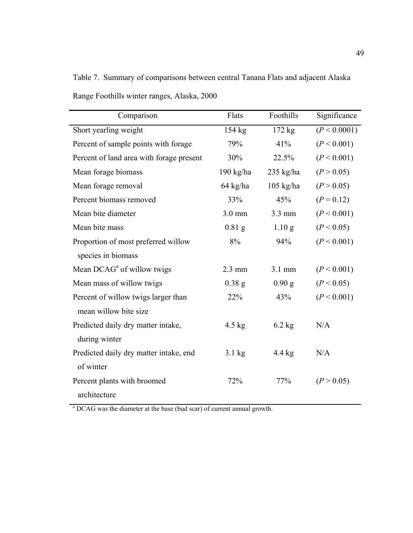Table 7. Summary of comparisons between central Tanana Flats and adjacent Alaska Range Foothills winter ranges, Alaska, 2000

| Comparison                               | Flats            | Foothills         | Significance |
|------------------------------------------|------------------|-------------------|--------------|
| Short yearling weight                    | $154$ kg         | 172 kg            | (P < 0.0001) |
| Percent of sample points with forage     | 79%              | 41%               | (P < 0.001)  |
| Percent of land area with forage present | 30%              | 22.5%             | (P < 0.001)  |
| Mean forage biomass                      | $190$ kg/ha      | $235$ kg/ha       | (P > 0.05)   |
| Mean forage removal                      | 64 kg/ha         | $105$ kg/ha       | (P > 0.05)   |
| Percent biomass removed                  | 33%              | 45%               | $(P = 0.12)$ |
| Mean bite diameter                       | $3.0$ mm         | 3.3 mm            | (P < 0.001)  |
| Mean bite mass                           | $0.81$ g         | 1.10 <sub>g</sub> | (P < 0.05)   |
| Proportion of most preferred willow      | 8%               | 94%               | (P < 0.001)  |
| species in biomass                       |                  |                   |              |
| Mean DCAG <sup>a</sup> of willow twigs   | $2.3 \text{ mm}$ | 3.1 mm            | (P < 0.001)  |
| Mean mass of willow twigs                | $0.38$ g         | 0.90 g            | (P < 0.05)   |
| Percent of willow twigs larger than      | 22%              | 43%               | (P < 0.001)  |
| mean willow bite size                    |                  |                   |              |
| Predicted daily dry matter intake,       | 4.5 $kg$         | $6.2$ kg          | N/A          |
| during winter                            |                  |                   |              |
| Predicted daily dry matter intake, end   | $3.1 \text{ kg}$ | $4.4 \text{ kg}$  | N/A          |
| of winter                                |                  |                   |              |
| Percent plants with broomed              | 72%              | 77%               | (P > 0.05)   |
| architecture                             |                  |                   |              |

<sup>a</sup> DCAG was the diameter at the base (bud scar) of current annual growth.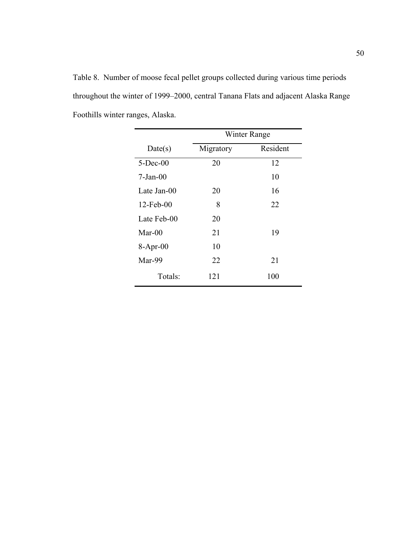Table 8. Number of moose fecal pellet groups collected during various time periods throughout the winter of 1999–2000, central Tanana Flats and adjacent Alaska Range Foothills winter ranges, Alaska.

|              | Winter Range |          |  |
|--------------|--------------|----------|--|
| Date(s)      | Migratory    | Resident |  |
| $5$ -Dec-00  | 20           | 12       |  |
| $7-Jan-00$   |              | 10       |  |
| Late Jan-00  | 20           | 16       |  |
| $12$ -Feb-00 | 8            | 22       |  |
| Late Feb-00  | 20           |          |  |
| $Mar-00$     | 21           | 19       |  |
| $8-Apr-00$   | 10           |          |  |
| Mar-99       | 22           | 21       |  |
| Totals:      | 121          | 100      |  |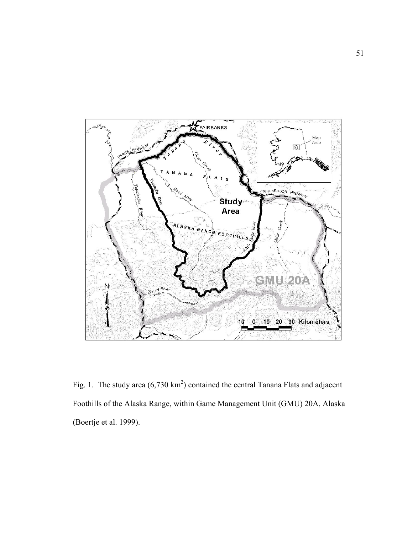

Fig. 1. The study area  $(6,730 \text{ km}^2)$  contained the central Tanana Flats and adjacent Foothills of the Alaska Range, within Game Management Unit (GMU) 20A, Alaska (Boertje et al. 1999).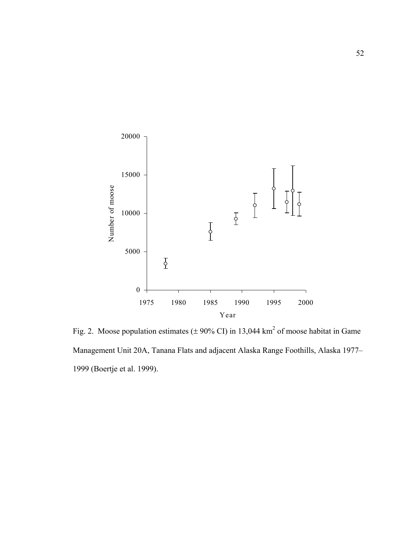

Fig. 2. Moose population estimates ( $\pm$  90% CI) in 13,044 km<sup>2</sup> of moose habitat in Game Management Unit 20A, Tanana Flats and adjacent Alaska Range Foothills, Alaska 1977– 1999 (Boertje et al. 1999).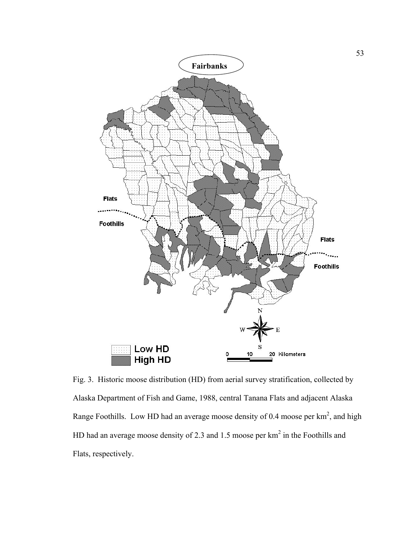

Fig. 3. Historic moose distribution (HD) from aerial survey stratification, collected by Alaska Department of Fish and Game, 1988, central Tanana Flats and adjacent Alaska Range Foothills. Low HD had an average moose density of 0.4 moose per  $km^2$ , and high HD had an average moose density of 2.3 and 1.5 moose per  $km<sup>2</sup>$  in the Foothills and Flats, respectively.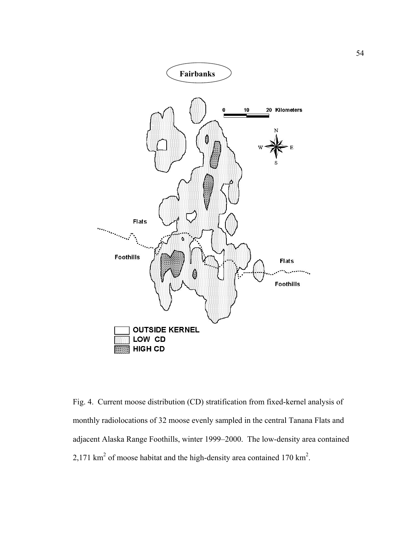

Fig. 4. Current moose distribution (CD) stratification from fixed-kernel analysis of monthly radiolocations of 32 moose evenly sampled in the central Tanana Flats and adjacent Alaska Range Foothills, winter 1999–2000. The low-density area contained 2,171 km<sup>2</sup> of moose habitat and the high-density area contained 170 km<sup>2</sup>.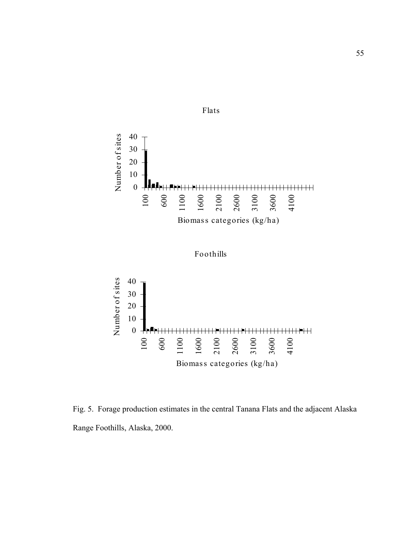

Foothills



Fig. 5. Forage production estimates in the central Tanana Flats and the adjacent Alaska Range Foothills, Alaska, 2000.

# Flats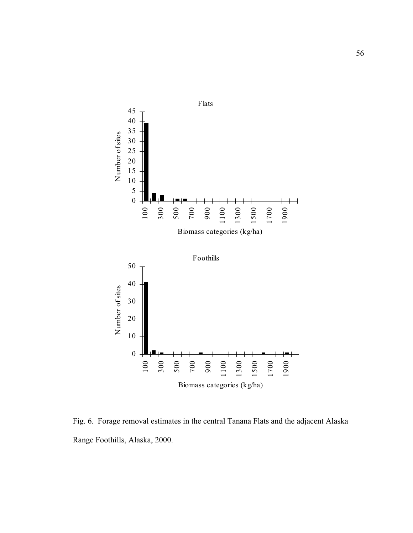

Fig. 6. Forage removal estimates in the central Tanana Flats and the adjacent Alaska Range Foothills, Alaska, 2000.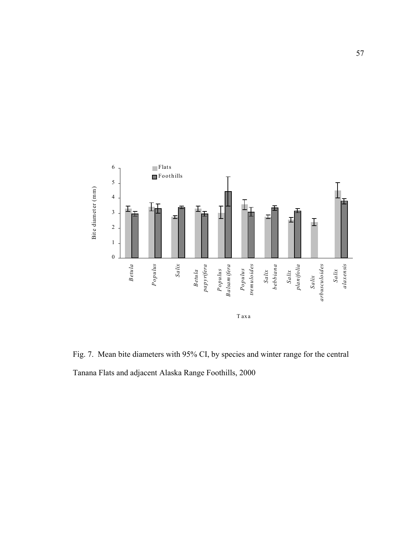

Fig. 7. Mean bite diameters with 95% CI, by species and winter range for the central Tanana Flats and adjacent Alaska Range Foothills, 2000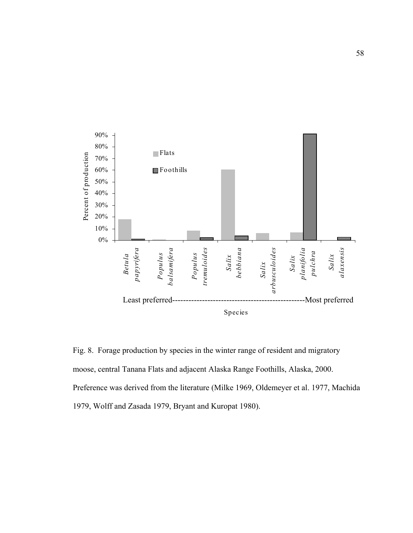

Fig. 8. Forage production by species in the winter range of resident and migratory moose, central Tanana Flats and adjacent Alaska Range Foothills, Alaska, 2000. Preference was derived from the literature (Milke 1969, Oldemeyer et al. 1977, Machida 1979, Wolff and Zasada 1979, Bryant and Kuropat 1980).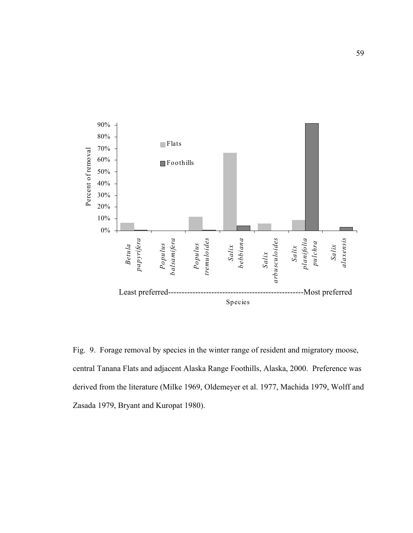

Fig. 9. Forage removal by species in the winter range of resident and migratory moose, central Tanana Flats and adjacent Alaska Range Foothills, Alaska, 2000. Preference was derived from the literature (Milke 1969, Oldemeyer et al. 1977, Machida 1979, Wolff and Zasada 1979, Bryant and Kuropat 1980).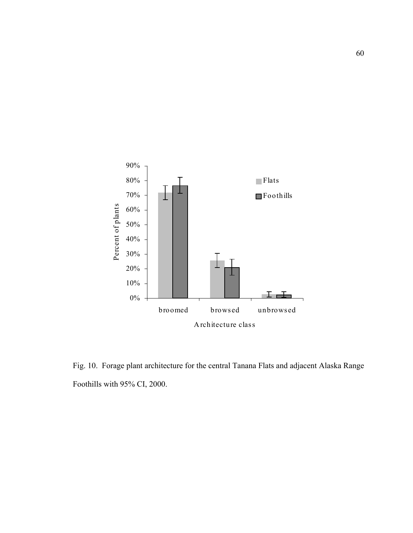

Fig. 10. Forage plant architecture for the central Tanana Flats and adjacent Alaska Range Foothills with 95% CI, 2000.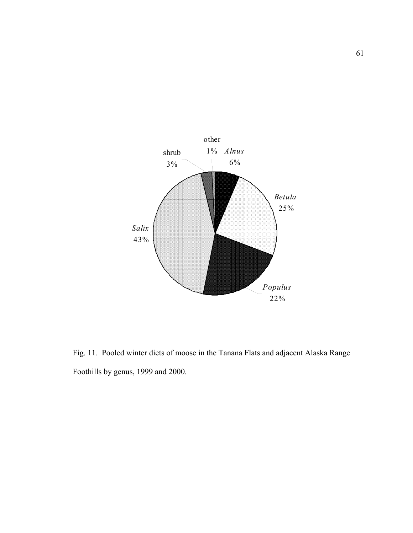

Fig. 11. Pooled winter diets of moose in the Tanana Flats and adjacent Alaska Range Foothills by genus, 1999 and 2000.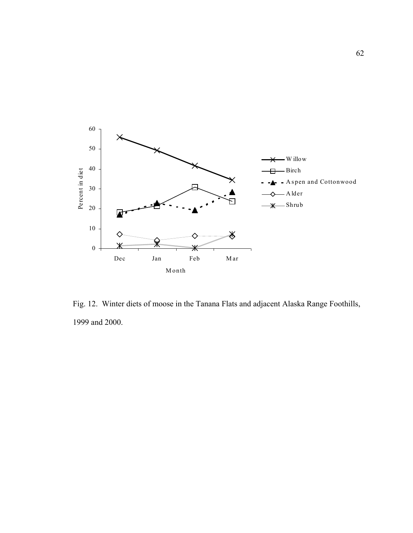

Fig. 12. Winter diets of moose in the Tanana Flats and adjacent Alaska Range Foothills, 1999 and 2000.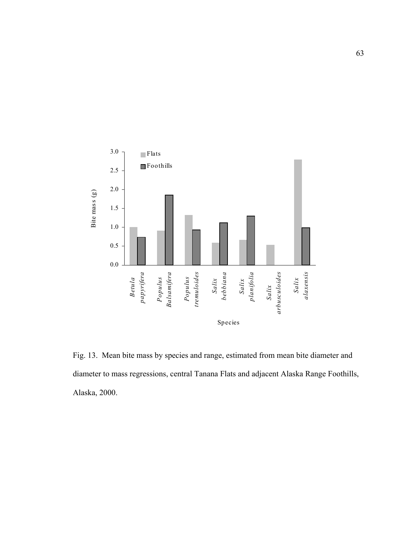

Fig. 13. Mean bite mass by species and range, estimated from mean bite diameter and diameter to mass regressions, central Tanana Flats and adjacent Alaska Range Foothills, Alaska, 2000.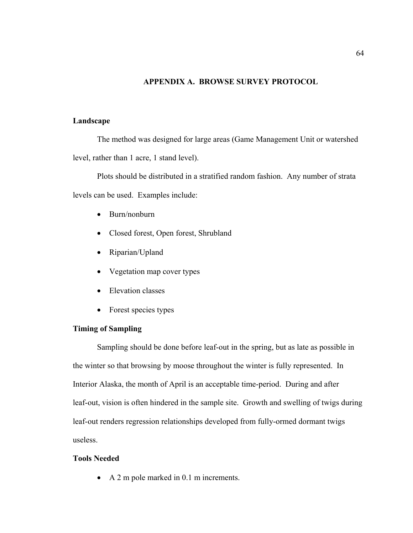## **APPENDIX A. BROWSE SURVEY PROTOCOL**

## **Landscape**

The method was designed for large areas (Game Management Unit or watershed level, rather than 1 acre, 1 stand level).

Plots should be distributed in a stratified random fashion. Any number of strata levels can be used. Examples include:

- Burn/nonburn
- Closed forest, Open forest, Shrubland
- Riparian/Upland
- Vegetation map cover types
- Elevation classes
- Forest species types

## **Timing of Sampling**

Sampling should be done before leaf-out in the spring, but as late as possible in the winter so that browsing by moose throughout the winter is fully represented. In Interior Alaska, the month of April is an acceptable time-period. During and after leaf-out, vision is often hindered in the sample site. Growth and swelling of twigs during leaf-out renders regression relationships developed from fully-ormed dormant twigs useless.

## **Tools Needed**

• A 2 m pole marked in 0.1 m increments.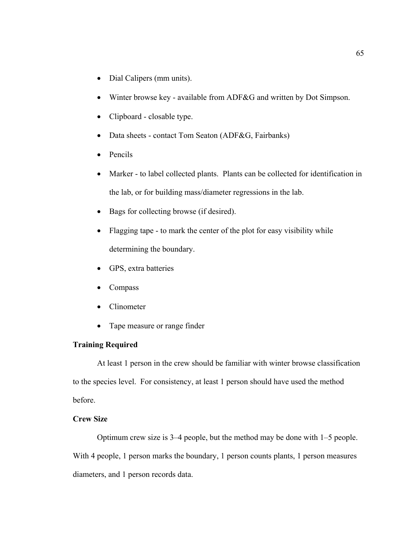- Dial Calipers (mm units).
- Winter browse key available from ADF&G and written by Dot Simpson.
- Clipboard closable type.
- Data sheets contact Tom Seaton (ADF&G, Fairbanks)
- Pencils
- Marker to label collected plants. Plants can be collected for identification in the lab, or for building mass/diameter regressions in the lab.
- Bags for collecting browse (if desired).
- Flagging tape to mark the center of the plot for easy visibility while determining the boundary.
- GPS, extra batteries
- Compass
- Clinometer
- Tape measure or range finder

## **Training Required**

At least 1 person in the crew should be familiar with winter browse classification to the species level. For consistency, at least 1 person should have used the method before.

## **Crew Size**

Optimum crew size is 3–4 people, but the method may be done with 1–5 people. With 4 people, 1 person marks the boundary, 1 person counts plants, 1 person measures diameters, and 1 person records data.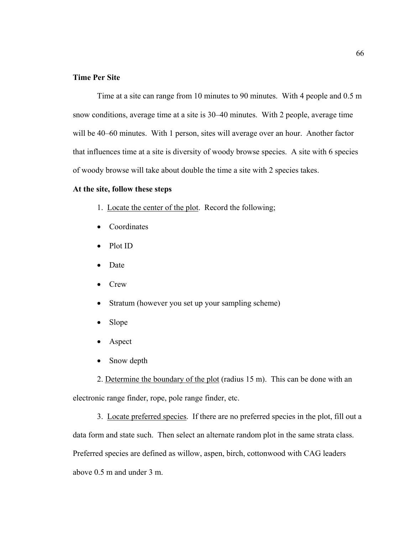## **Time Per Site**

Time at a site can range from 10 minutes to 90 minutes. With 4 people and 0.5 m snow conditions, average time at a site is 30–40 minutes. With 2 people, average time will be 40–60 minutes. With 1 person, sites will average over an hour. Another factor that influences time at a site is diversity of woody browse species. A site with 6 species of woody browse will take about double the time a site with 2 species takes.

## **At the site, follow these steps**

- 1. Locate the center of the plot. Record the following;
- Coordinates
- Plot ID
- Date
- Crew
- Stratum (however you set up your sampling scheme)
- Slope
- Aspect
- Snow depth

2. Determine the boundary of the plot (radius 15 m). This can be done with an electronic range finder, rope, pole range finder, etc.

3. Locate preferred species. If there are no preferred species in the plot, fill out a data form and state such. Then select an alternate random plot in the same strata class. Preferred species are defined as willow, aspen, birch, cottonwood with CAG leaders above 0.5 m and under 3 m.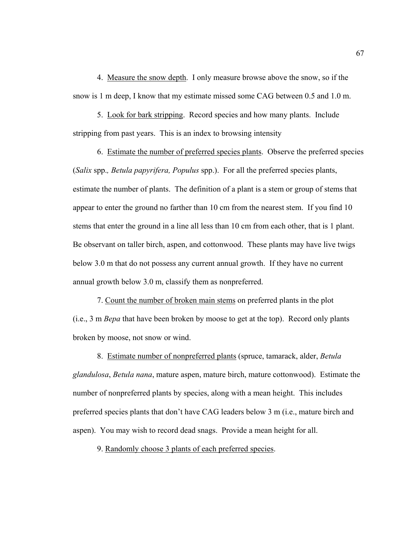4. Measure the snow depth. I only measure browse above the snow, so if the snow is 1 m deep, I know that my estimate missed some CAG between 0.5 and 1.0 m.

5. Look for bark stripping. Record species and how many plants. Include stripping from past years. This is an index to browsing intensity

6. Estimate the number of preferred species plants. Observe the preferred species (*Salix* spp.*, Betula papyrifera, Populus* spp.). For all the preferred species plants, estimate the number of plants. The definition of a plant is a stem or group of stems that appear to enter the ground no farther than 10 cm from the nearest stem. If you find 10 stems that enter the ground in a line all less than 10 cm from each other, that is 1 plant. Be observant on taller birch, aspen, and cottonwood. These plants may have live twigs below 3.0 m that do not possess any current annual growth. If they have no current annual growth below 3.0 m, classify them as nonpreferred.

7. Count the number of broken main stems on preferred plants in the plot (i.e., 3 m *Bepa* that have been broken by moose to get at the top). Record only plants broken by moose, not snow or wind.

8. Estimate number of nonpreferred plants (spruce, tamarack, alder, *Betula glandulosa*, *Betula nana*, mature aspen, mature birch, mature cottonwood). Estimate the number of nonpreferred plants by species, along with a mean height. This includes preferred species plants that don't have CAG leaders below 3 m (i.e., mature birch and aspen). You may wish to record dead snags. Provide a mean height for all.

9. Randomly choose 3 plants of each preferred species.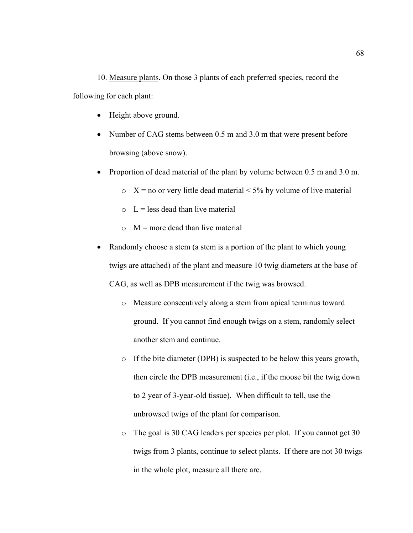10. Measure plants. On those 3 plants of each preferred species, record the following for each plant:

- Height above ground.
- Number of CAG stems between 0.5 m and 3.0 m that were present before browsing (above snow).
- Proportion of dead material of the plant by volume between 0.5 m and 3.0 m.
	- $\circ$  X = no or very little dead material < 5% by volume of live material
	- $\circ$  L = less dead than live material
	- $\circ$  M = more dead than live material
- Randomly choose a stem (a stem is a portion of the plant to which young twigs are attached) of the plant and measure 10 twig diameters at the base of CAG, as well as DPB measurement if the twig was browsed.
	- o Measure consecutively along a stem from apical terminus toward ground. If you cannot find enough twigs on a stem, randomly select another stem and continue.
	- o If the bite diameter (DPB) is suspected to be below this years growth, then circle the DPB measurement (i.e., if the moose bit the twig down to 2 year of 3-year-old tissue). When difficult to tell, use the unbrowsed twigs of the plant for comparison.
	- o The goal is 30 CAG leaders per species per plot. If you cannot get 30 twigs from 3 plants, continue to select plants. If there are not 30 twigs in the whole plot, measure all there are.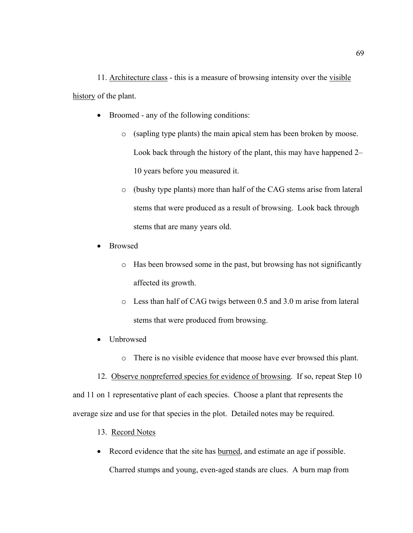11. Architecture class - this is a measure of browsing intensity over the visible history of the plant.

- Broomed any of the following conditions:
	- o (sapling type plants) the main apical stem has been broken by moose. Look back through the history of the plant, this may have happened 2– 10 years before you measured it.
	- o (bushy type plants) more than half of the CAG stems arise from lateral stems that were produced as a result of browsing. Look back through stems that are many years old.
- Browsed
	- o Has been browsed some in the past, but browsing has not significantly affected its growth.
	- o Less than half of CAG twigs between 0.5 and 3.0 m arise from lateral stems that were produced from browsing.
- Unbrowsed
	- o There is no visible evidence that moose have ever browsed this plant.
- 12. Observe nonpreferred species for evidence of browsing. If so, repeat Step 10

and 11 on 1 representative plant of each species. Choose a plant that represents the average size and use for that species in the plot. Detailed notes may be required.

- 13. Record Notes
- Record evidence that the site has burned, and estimate an age if possible. Charred stumps and young, even-aged stands are clues. A burn map from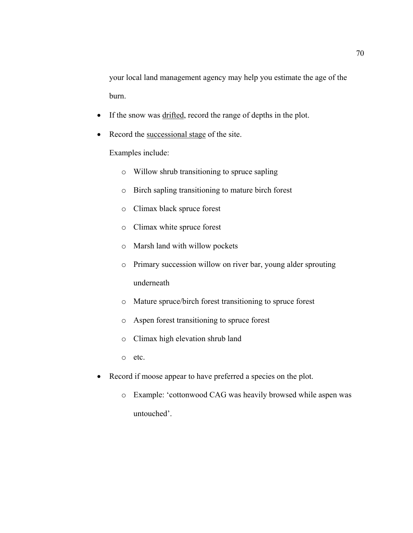your local land management agency may help you estimate the age of the burn.

- If the snow was drifted, record the range of depths in the plot.
- Record the successional stage of the site.

Examples include:

- o Willow shrub transitioning to spruce sapling
- o Birch sapling transitioning to mature birch forest
- o Climax black spruce forest
- o Climax white spruce forest
- o Marsh land with willow pockets
- o Primary succession willow on river bar, young alder sprouting underneath
- o Mature spruce/birch forest transitioning to spruce forest
- o Aspen forest transitioning to spruce forest
- o Climax high elevation shrub land

o etc.

- Record if moose appear to have preferred a species on the plot.
	- o Example: 'cottonwood CAG was heavily browsed while aspen was untouched'.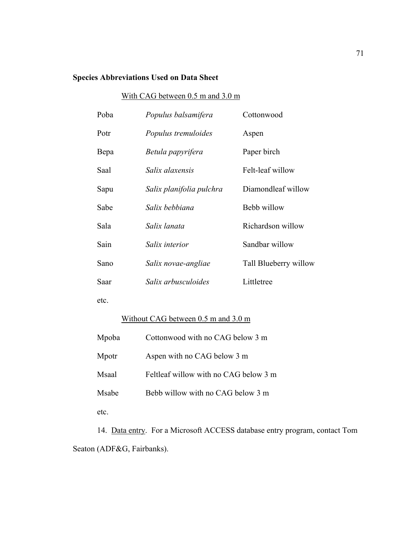# **Species Abbreviations Used on Data Sheet**

# With CAG between 0.5 m and 3.0 m

| Populus balsamifera      | Cottonwood            |
|--------------------------|-----------------------|
| Populus tremuloides      | Aspen                 |
| Betula papyrifera        | Paper birch           |
| Salix alaxensis          | Felt-leaf willow      |
| Salix planifolia pulchra | Diamondleaf willow    |
| Salix bebbiana           | Bebb willow           |
| Salix lanata             | Richardson willow     |
| Salix interior           | Sandbar willow        |
| Salix novae-angliae      | Tall Blueberry willow |
| Salix arbusculoides      | Littletree            |
|                          |                       |

etc.

# Without CAG between 0.5 m and 3.0 m

| Mpoba | Cottonwood with no CAG below 3 m      |
|-------|---------------------------------------|
| Mpotr | Aspen with no CAG below 3 m           |
| Msaal | Feltleaf willow with no CAG below 3 m |
| Msabe | Bebb willow with no CAG below 3 m     |
| etc.  |                                       |

14. Data entry. For a Microsoft ACCESS database entry program, contact Tom Seaton (ADF&G, Fairbanks).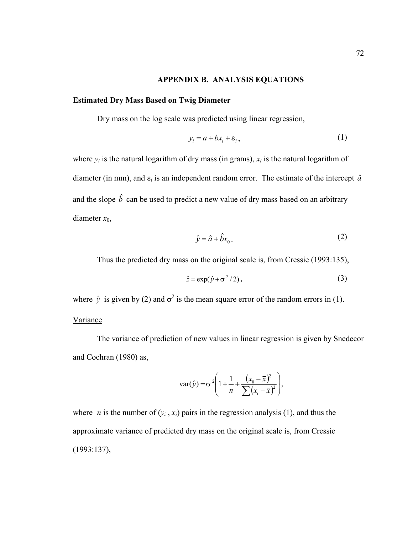## **APPENDIX B. ANALYSIS EQUATIONS**

## **Estimated Dry Mass Based on Twig Diameter**

Dry mass on the log scale was predicted using linear regression,

$$
y_i = a + bx_i + \varepsilon_i, \tag{1}
$$

where  $y_i$  is the natural logarithm of dry mass (in grams),  $x_i$  is the natural logarithm of diameter (in mm), and  $\varepsilon_i$  is an independent random error. The estimate of the intercept  $\hat{a}$ and the slope  $\hat{b}$  can be used to predict a new value of dry mass based on an arbitrary diameter *x*0,

$$
\hat{y} = \hat{a} + \hat{b}x_0.
$$
 (2)

Thus the predicted dry mass on the original scale is, from Cressie (1993:135),

$$
\hat{z} = \exp(\hat{y} + \sigma^2/2),\tag{3}
$$

where  $\hat{y}$  is given by (2) and  $\sigma^2$  is the mean square error of the random errors in (1).

### Variance

The variance of prediction of new values in linear regression is given by Snedecor and Cochran (1980) as,

var(
$$
\hat{y}
$$
) =  $\sigma^2 \left( 1 + \frac{1}{n} + \frac{(x_0 - \bar{x})^2}{\sum (x_i - \bar{x})^2} \right)$ ,

where *n* is the number of  $(y_i, x_i)$  pairs in the regression analysis (1), and thus the approximate variance of predicted dry mass on the original scale is, from Cressie (1993:137),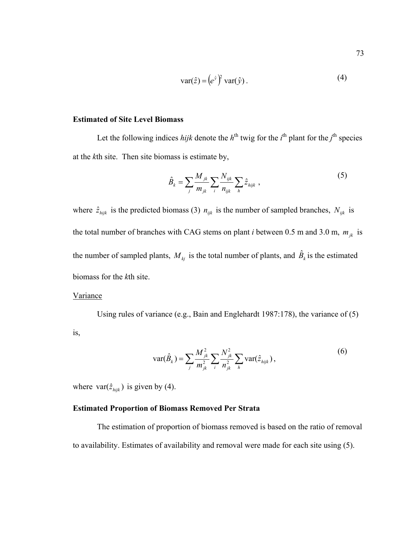$$
var(\hat{z}) = (e^{\hat{y}})^2 var(\hat{y}).
$$
\n(4)

## **Estimated of Site Level Biomass**

Let the following indices *hijk* denote the  $h<sup>th</sup>$  twig for the  $i<sup>th</sup>$  plant for the  $j<sup>th</sup>$  species at the *k*th site. Then site biomass is estimate by,

$$
\hat{B}_k = \sum_j \frac{M_{jk}}{m_{jk}} \sum_i \frac{N_{ijk}}{n_{ijk}} \sum_h \hat{z}_{hijk} \,, \tag{5}
$$

where  $\hat{z}_{hijk}$  is the predicted biomass (3)  $n_{ijk}$  is the number of sampled branches,  $N_{ijk}$  is the total number of branches with CAG stems on plant *i* between 0.5 m and 3.0 m,  $m_{ik}$  is the number of sampled plants,  $M_{kj}$  is the total number of plants, and  $\hat{B}_k$  is the estimated biomass for the *k*th site.

#### **Variance**

Using rules of variance (e.g., Bain and Englehardt 1987:178), the variance of (5) is,

$$
\text{var}(\hat{B}_k) = \sum_j \frac{M_{jk}^2}{m_{jk}^2} \sum_i \frac{N_{jk}^2}{n_{jk}^2} \sum_h \text{var}(\hat{z}_{hijk}),
$$
(6)

where  $var(\hat{z}_{hijk})$  is given by (4).

## **Estimated Proportion of Biomass Removed Per Strata**

The estimation of proportion of biomass removed is based on the ratio of removal to availability. Estimates of availability and removal were made for each site using (5).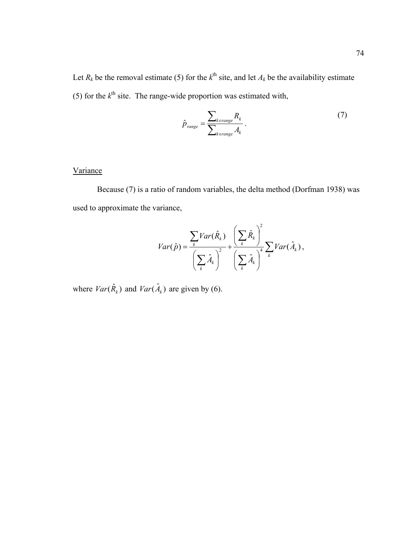Let  $R_k$  be the removal estimate (5) for the  $k^{\text{th}}$  site, and let  $A_k$  be the availability estimate (5) for the  $k^{\text{th}}$  site. The range-wide proportion was estimated with,

$$
\hat{p}_{range} = \frac{\sum_{k \in range} R_k}{\sum_{k \in range} A_k} \,. \tag{7}
$$

## Variance

Because (7) is a ratio of random variables, the delta method (Dorfman 1938) was used to approximate the variance,

$$
Var(\hat{p}) = \frac{\sum_{k} Var(\hat{R}_{k})}{\left(\sum_{k} \hat{A}_{k}\right)^{2}} + \frac{\left(\sum_{k} \hat{R}_{k}\right)^{2}}{\left(\sum_{k} \hat{A}_{k}\right)^{4}} \sum_{k} Var(\hat{A}_{k}),
$$

where  $Var(\hat{R}_k)$  and  $Var(\hat{A}_k)$  are given by (6).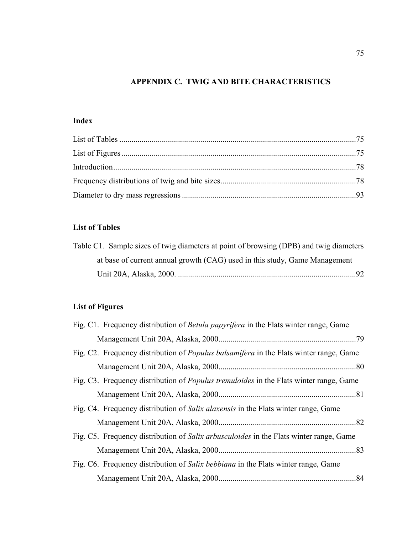## **APPENDIX C. TWIG AND BITE CHARACTERISTICS**

# **Index**

# **List of Tables**

| Table C1. Sample sizes of twig diameters at point of browsing (DPB) and twig diameters |       |
|----------------------------------------------------------------------------------------|-------|
| at base of current annual growth (CAG) used in this study, Game Management             |       |
|                                                                                        | $-92$ |

# **List of Figures**

| Fig. C1. Frequency distribution of Betula papyrifera in the Flats winter range, Game          |  |
|-----------------------------------------------------------------------------------------------|--|
|                                                                                               |  |
| Fig. C2. Frequency distribution of <i>Populus balsamifera</i> in the Flats winter range, Game |  |
|                                                                                               |  |
| Fig. C3. Frequency distribution of <i>Populus tremuloides</i> in the Flats winter range, Game |  |
|                                                                                               |  |
| Fig. C4. Frequency distribution of <i>Salix alaxensis</i> in the Flats winter range, Game     |  |
|                                                                                               |  |
| Fig. C5. Frequency distribution of <i>Salix arbusculoides</i> in the Flats winter range, Game |  |
|                                                                                               |  |
| Fig. C6. Frequency distribution of Salix bebbiana in the Flats winter range, Game             |  |
|                                                                                               |  |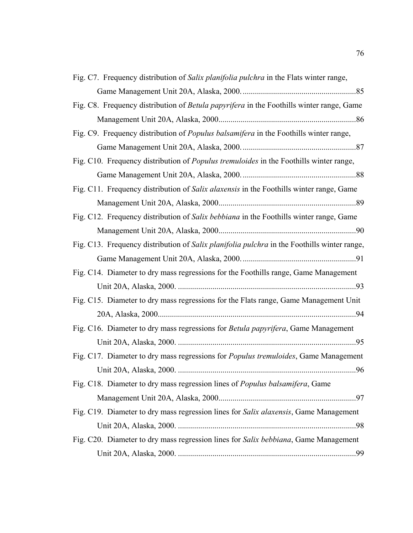| Fig. C7. Frequency distribution of Salix planifolia pulchra in the Flats winter range,        |
|-----------------------------------------------------------------------------------------------|
|                                                                                               |
| Fig. C8. Frequency distribution of Betula papyrifera in the Foothills winter range, Game      |
|                                                                                               |
| Fig. C9. Frequency distribution of <i>Populus balsamifera</i> in the Foothills winter range,  |
|                                                                                               |
| Fig. C10. Frequency distribution of <i>Populus tremuloides</i> in the Foothills winter range, |
|                                                                                               |
| Fig. C11. Frequency distribution of Salix alaxensis in the Foothills winter range, Game       |
|                                                                                               |
| Fig. C12. Frequency distribution of Salix bebbiana in the Foothills winter range, Game        |
|                                                                                               |
| Fig. C13. Frequency distribution of Salix planifolia pulchra in the Foothills winter range,   |
|                                                                                               |
| Fig. C14. Diameter to dry mass regressions for the Foothills range, Game Management           |
|                                                                                               |
| Fig. C15. Diameter to dry mass regressions for the Flats range, Game Management Unit          |
|                                                                                               |
| Fig. C16. Diameter to dry mass regressions for Betula papyrifera, Game Management             |
|                                                                                               |
| Fig. C17. Diameter to dry mass regressions for Populus tremuloides, Game Management           |
|                                                                                               |
| Fig. C18. Diameter to dry mass regression lines of Populus balsamifera, Game                  |
|                                                                                               |
| Fig. C19. Diameter to dry mass regression lines for Salix alaxensis, Game Management          |
|                                                                                               |
| Fig. C20. Diameter to dry mass regression lines for Salix bebbiana, Game Management           |
|                                                                                               |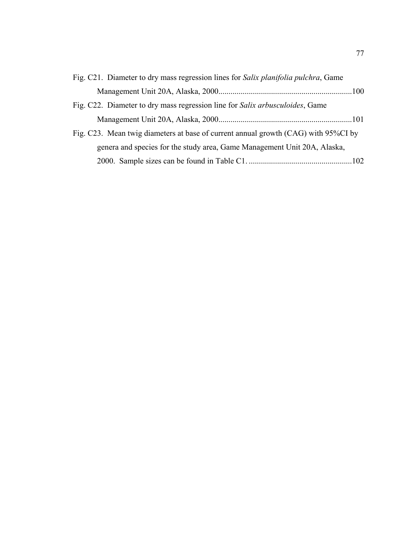| Fig. C21. Diameter to dry mass regression lines for Salix planifolia pulchra, Game   |  |
|--------------------------------------------------------------------------------------|--|
|                                                                                      |  |
| Fig. C22. Diameter to dry mass regression line for <i>Salix arbusculoides</i> , Game |  |
|                                                                                      |  |
| Fig. C23. Mean twig diameters at base of current annual growth (CAG) with 95%CI by   |  |
| genera and species for the study area, Game Management Unit 20A, Alaska,             |  |
|                                                                                      |  |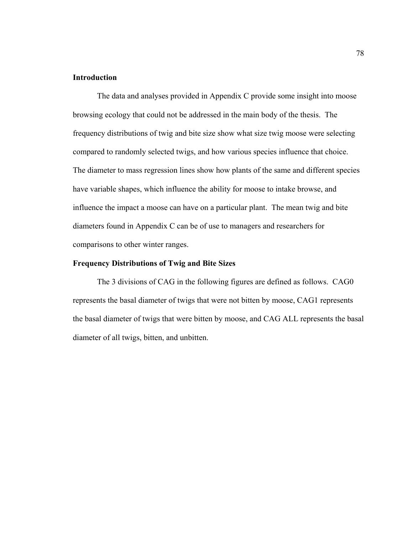### **Introduction**

The data and analyses provided in Appendix C provide some insight into moose browsing ecology that could not be addressed in the main body of the thesis. The frequency distributions of twig and bite size show what size twig moose were selecting compared to randomly selected twigs, and how various species influence that choice. The diameter to mass regression lines show how plants of the same and different species have variable shapes, which influence the ability for moose to intake browse, and influence the impact a moose can have on a particular plant. The mean twig and bite diameters found in Appendix C can be of use to managers and researchers for comparisons to other winter ranges.

#### **Frequency Distributions of Twig and Bite Sizes**

The 3 divisions of CAG in the following figures are defined as follows. CAG0 represents the basal diameter of twigs that were not bitten by moose, CAG1 represents the basal diameter of twigs that were bitten by moose, and CAG ALL represents the basal diameter of all twigs, bitten, and unbitten.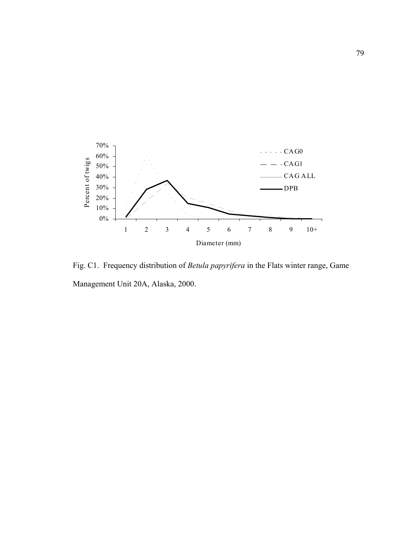

Fig. C1. Frequency distribution of *Betula papyrifera* in the Flats winter range, Game Management Unit 20A, Alaska, 2000.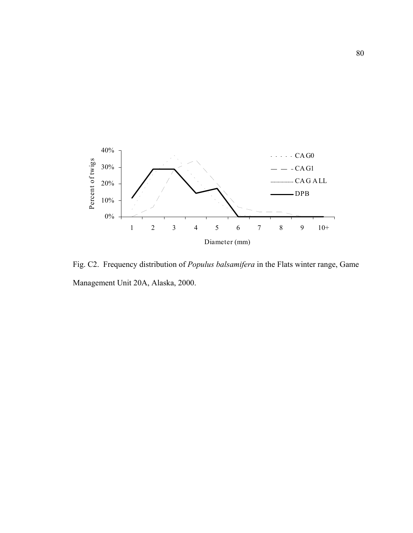

Fig. C2. Frequency distribution of *Populus balsamifera* in the Flats winter range, Game Management Unit 20A, Alaska, 2000.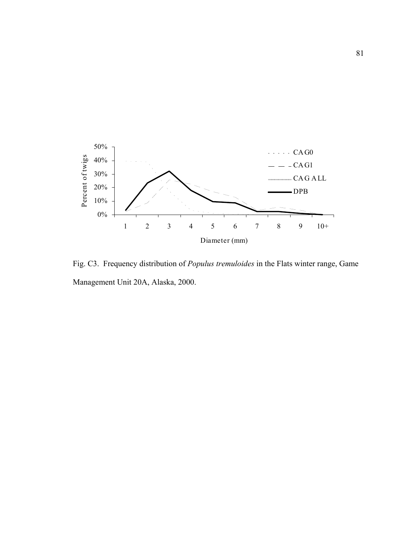

Fig. C3. Frequency distribution of *Populus tremuloides* in the Flats winter range, Game Management Unit 20A, Alaska, 2000.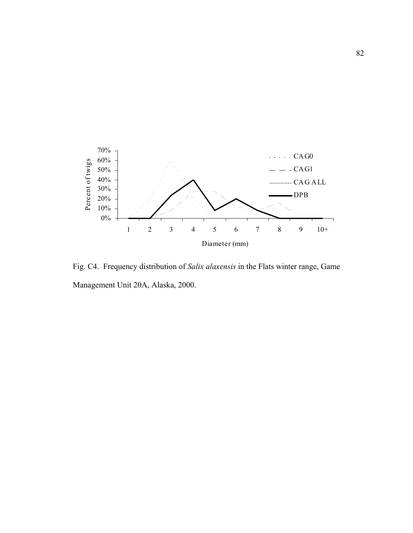

Fig. C4. Frequency distribution of *Salix alaxensis* in the Flats winter range, Game Management Unit 20A, Alaska, 2000.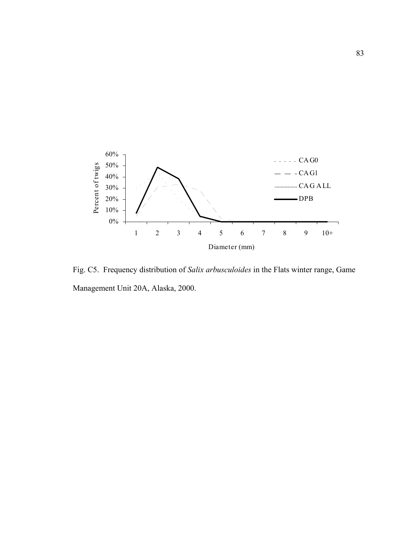

Fig. C5. Frequency distribution of *Salix arbusculoides* in the Flats winter range, Game Management Unit 20A, Alaska, 2000.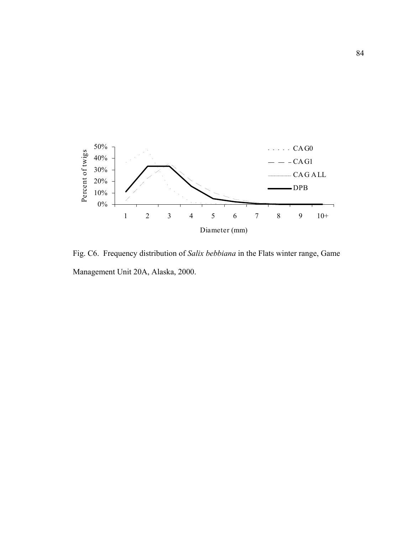

Fig. C6. Frequency distribution of *Salix bebbiana* in the Flats winter range, Game Management Unit 20A, Alaska, 2000.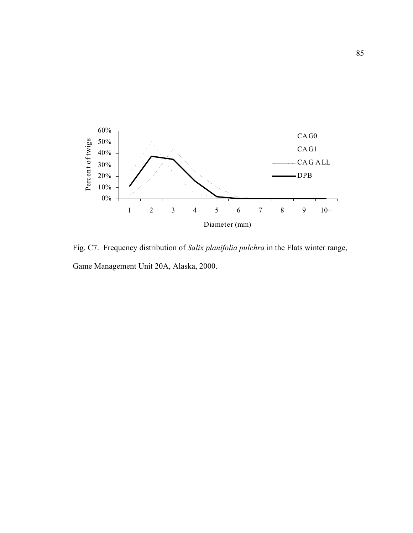

Fig. C7. Frequency distribution of *Salix planifolia pulchra* in the Flats winter range, Game Management Unit 20A, Alaska, 2000.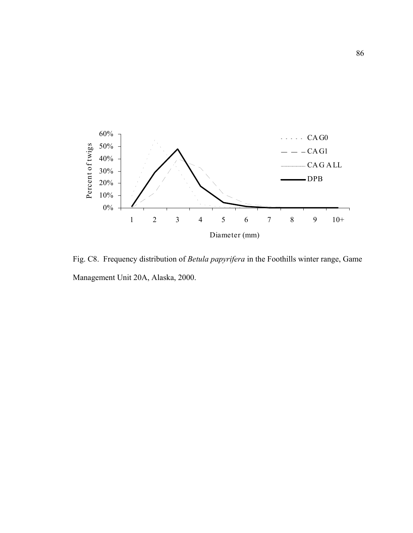

Fig. C8. Frequency distribution of *Betula papyrifera* in the Foothills winter range, Game Management Unit 20A, Alaska, 2000.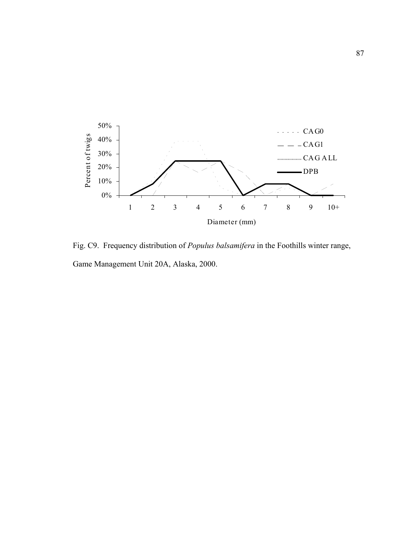

Fig. C9. Frequency distribution of *Populus balsamifera* in the Foothills winter range, Game Management Unit 20A, Alaska, 2000.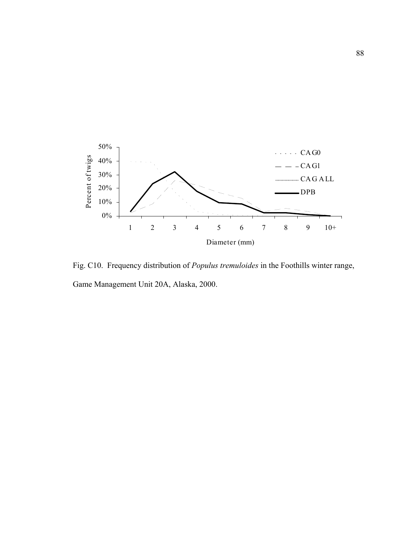

Fig. C10. Frequency distribution of *Populus tremuloides* in the Foothills winter range, Game Management Unit 20A, Alaska, 2000.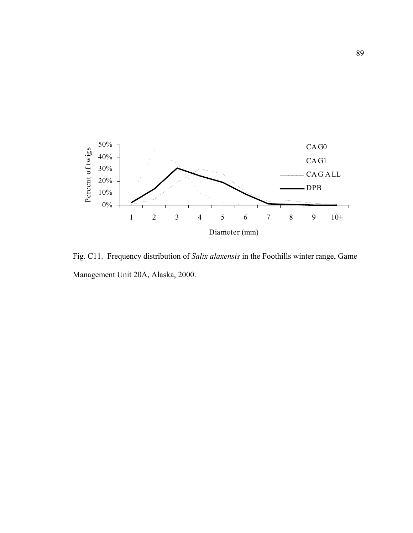

Fig. C11. Frequency distribution of *Salix alaxensis* in the Foothills winter range, Game Management Unit 20A, Alaska, 2000.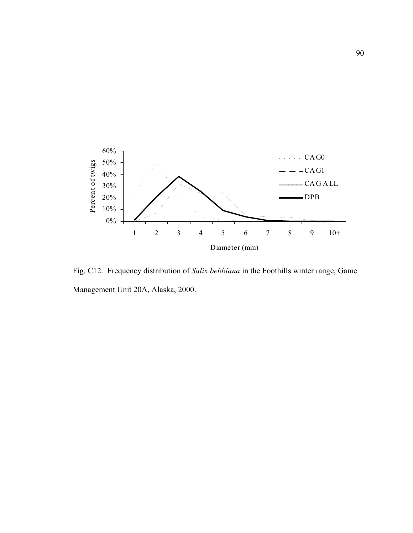

Fig. C12. Frequency distribution of *Salix bebbiana* in the Foothills winter range, Game Management Unit 20A, Alaska, 2000.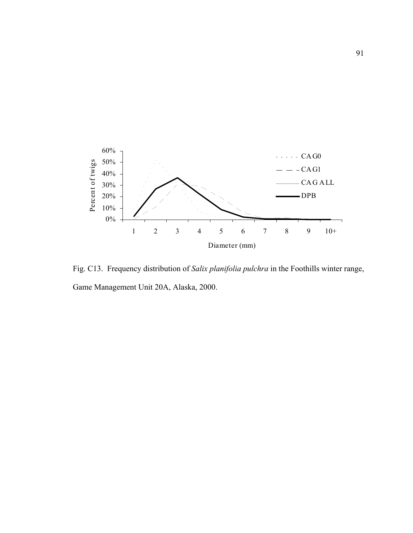

Fig. C13. Frequency distribution of *Salix planifolia pulchra* in the Foothills winter range, Game Management Unit 20A, Alaska, 2000.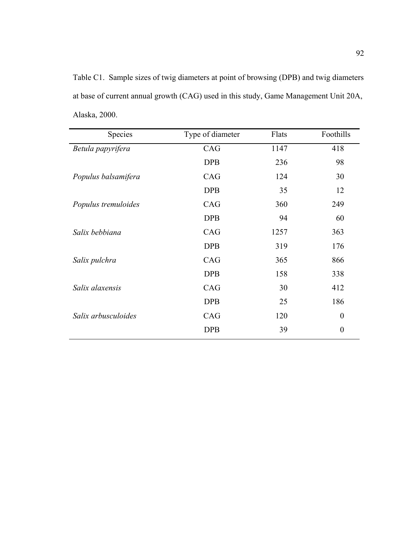Table C1. Sample sizes of twig diameters at point of browsing (DPB) and twig diameters at base of current annual growth (CAG) used in this study, Game Management Unit 20A, Alaska, 2000.

| Species             | Type of diameter | Flats | Foothills        |
|---------------------|------------------|-------|------------------|
| Betula papyrifera   | CAG              | 1147  | 418              |
|                     | <b>DPB</b>       | 236   | 98               |
| Populus balsamifera | CAG              | 124   | 30               |
|                     | <b>DPB</b>       | 35    | 12               |
| Populus tremuloides | CAG              | 360   | 249              |
|                     | <b>DPB</b>       | 94    | 60               |
| Salix bebbiana      | CAG              | 1257  | 363              |
|                     | <b>DPB</b>       | 319   | 176              |
| Salix pulchra       | CAG              | 365   | 866              |
|                     | <b>DPB</b>       | 158   | 338              |
| Salix alaxensis     | CAG              | 30    | 412              |
|                     | <b>DPB</b>       | 25    | 186              |
| Salix arbusculoides | CAG              | 120   | $\boldsymbol{0}$ |
|                     | <b>DPB</b>       | 39    | $\boldsymbol{0}$ |
|                     |                  |       |                  |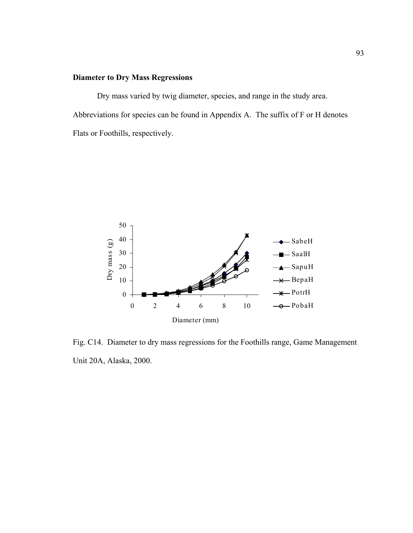## **Diameter to Dry Mass Regressions**

Dry mass varied by twig diameter, species, and range in the study area. Abbreviations for species can be found in Appendix A. The suffix of F or H denotes Flats or Foothills, respectively.



Fig. C14. Diameter to dry mass regressions for the Foothills range, Game Management Unit 20A, Alaska, 2000.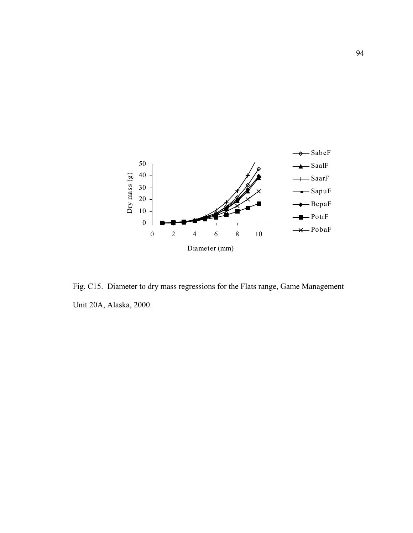

Fig. C15. Diameter to dry mass regressions for the Flats range, Game Management Unit 20A, Alaska, 2000.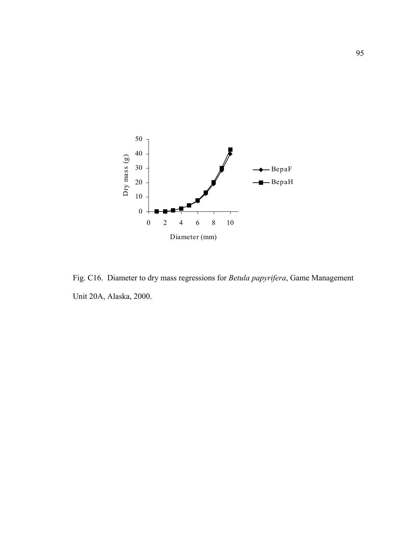

Fig. C16. Diameter to dry mass regressions for *Betula papyrifera*, Game Management Unit 20A, Alaska, 2000.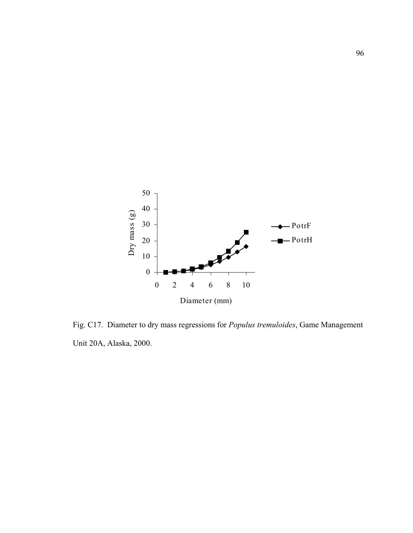

Fig. C17. Diameter to dry mass regressions for *Populus tremuloides*, Game Management Unit 20A, Alaska, 2000.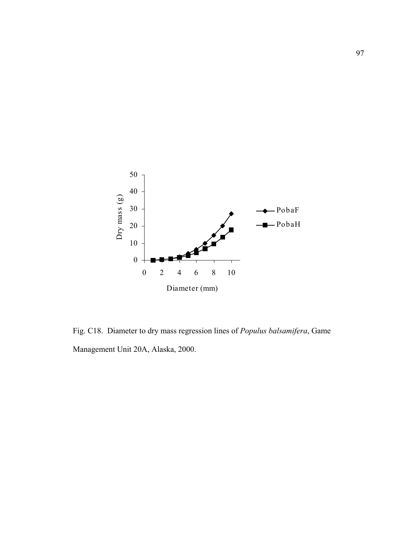

Fig. C18. Diameter to dry mass regression lines of *Populus balsamifera*, Game Management Unit 20A, Alaska, 2000.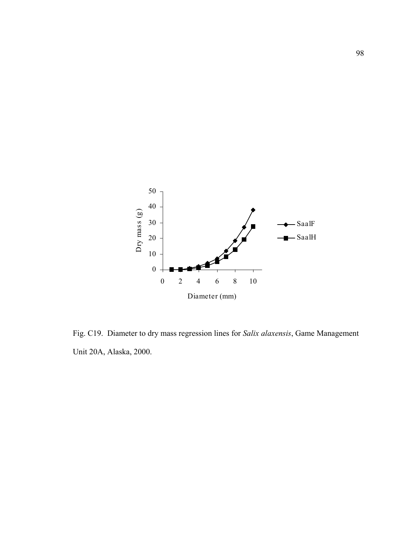

Fig. C19. Diameter to dry mass regression lines for *Salix alaxensis*, Game Management Unit 20A, Alaska, 2000.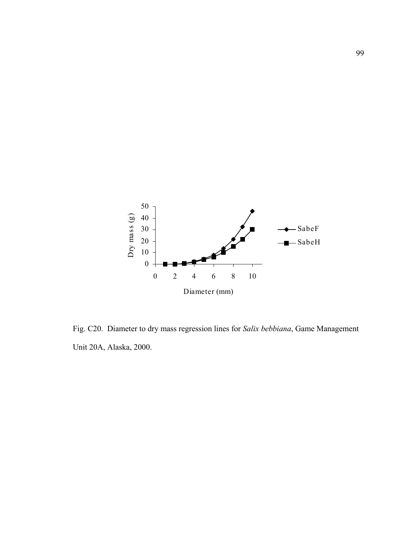

Fig. C20. Diameter to dry mass regression lines for *Salix bebbiana*, Game Management Unit 20A, Alaska, 2000.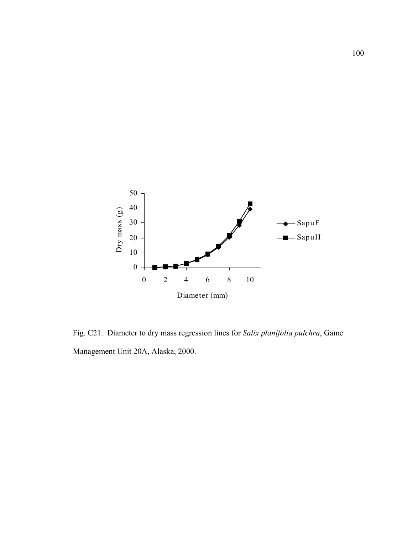

Fig. C21. Diameter to dry mass regression lines for *Salix planifolia pulchra*, Game Management Unit 20A, Alaska, 2000.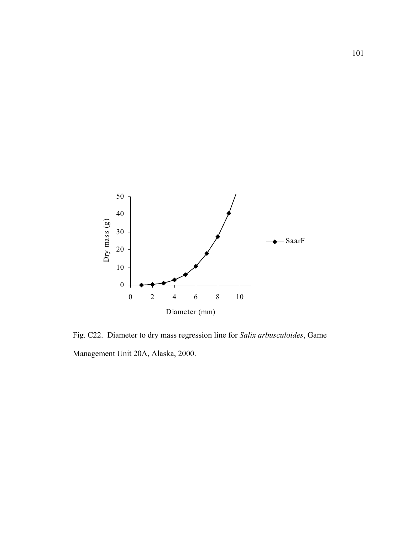

Fig. C22. Diameter to dry mass regression line for *Salix arbusculoides*, Game Management Unit 20A, Alaska, 2000.